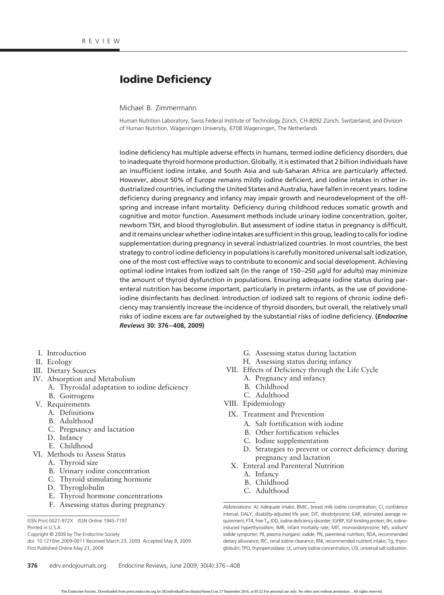# **Iodine Deficiency**

#### Michael B. Zimmermann

Human Nutrition Laboratory, Swiss Federal Institute of Technology Zürich, CH-8092 Zürich, Switzerland; and Division of Human Nutrition, Wageningen University, 6708 Wageningen, The Netherlands

Iodine deficiency has multiple adverse effects in humans, termed iodine deficiency disorders, due to inadequate thyroid hormone production. Globally, it is estimated that 2 billion individuals have an insufficient iodine intake, and South Asia and sub-Saharan Africa are particularly affected. However, about 50% of Europe remains mildly iodine deficient, and iodine intakes in other industrialized countries, including the United States and Australia, have fallen in recent years. Iodine deficiency during pregnancy and infancy may impair growth and neurodevelopment of the offspring and increase infant mortality. Deficiency during childhood reduces somatic growth and cognitive and motor function. Assessment methods include urinary iodine concentration, goiter, newborn TSH, and blood thyroglobulin. But assessment of iodine status in pregnancy is difficult, and it remains unclear whether iodine intakes are sufficient in this group, leading to calls for iodine supplementation during pregnancy in several industrialized countries. In most countries, the best strategy to control iodine deficiency in populations is carefully monitored universal salt iodization, one of the most cost-effective ways to contribute to economic and social development. Achieving optimal iodine intakes from iodized salt (in the range of 150-250  $\mu$ g/d for adults) may minimize the amount of thyroid dysfunction in populations. Ensuring adequate iodine status during parenteral nutrition has become important, particularly in preterm infants, as the use of povidoneiodine disinfectants has declined. Introduction of iodized salt to regions of chronic iodine deficiency may transiently increase the incidence of thyroid disorders, but overall, the relatively small risks of iodine excess are far outweighed by the substantial risks of iodine deficiency. **(***Endocrine Reviews* **30: 376 – 408, 2009)**

- I. Introduction
- II. Ecology
- III. Dietary Sources
- IV. Absorption and Metabolism
	- A. Thyroidal adaptation to iodine deficiency
	- B. Goitrogens
- V. Requirements
	- A. Definitions
	- B. Adulthood
	- C. Pregnancy and lactation
	- D. Infancy
	- E. Childhood
- VI. Methods to Assess Status
	- A. Thyroid size
	- B. Urinary iodine concentration
	- C. Thyroid stimulating hormone
	- D. Thyroglobulin
	- E. Thyroid hormone concentrations
	- F. Assessing status during pregnancy
- G. Assessing status during lactation
- H. Assessing status during infancy
- VII. Effects of Deficiency through the Life Cycle
	- A. Pregnancy and infancy
	- B. Childhood
	- C. Adulthood
- VIII. Epidemiology
	- IX. Treatment and Prevention
		- A. Salt fortification with iodine
		- B. Other fortification vehicles
		- C. Iodine supplementation
		- D. Strategies to prevent or correct deficiency during pregnancy and lactation
	- X. Enteral and Parenteral Nutrition
		- A. Infancy
		- B. Childhood
		- C. Adulthood

ISSN Print 0021-972X ISSN Online 1945-7197 Printed in U.S.A.

Copyright © 2009 by The Endocrine Society doi: 10.1210/er.2009-0011 Received March 23, 2009. Accepted May 8, 2009.

First Published Online May 21, 2009

Abbreviations: AI, Adequate intake; BMIC, breast milk iodine concentration; CI, confidence interval; DALY, disability-adjusted life year; DIT, diiodotyrosine; EAR, estimated average requirement; FT4, free T<sub>4</sub>; IDD, iodine deficiency disorder; IGFBP, IGF binding protein; IIH, iodineinduced hyperthyroidism; IMR, infant mortality rate; MIT, monoiodotyrosine; NIS, sodium/ iodide symporter; PII, plasma inorganic iodide; PN, parenteral nutrition; RDA, recommended dietary allowance; RIC, renal iodine clearance; RNI, recommended nutrient intake; Tg, thyroglobulin; TPO, thyroperoxidase; UI, urinary iodine concentration; USI, universal salt iodization.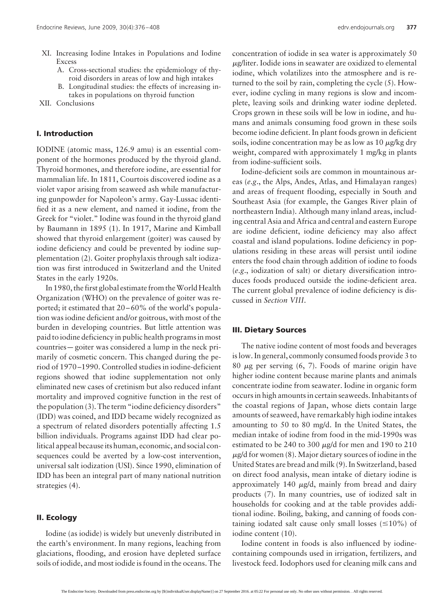- XI. Increasing Iodine Intakes in Populations and Iodine Excess
	- A. Cross-sectional studies: the epidemiology of thyroid disorders in areas of low and high intakes
	- B. Longitudinal studies: the effects of increasing intakes in populations on thyroid function
- XII. Conclusions

# **I. Introduction**

IODINE (atomic mass, 126.9 amu) is an essential component of the hormones produced by the thyroid gland. Thyroid hormones, and therefore iodine, are essential for mammalian life. In 1811, Courtois discovered iodine as a violet vapor arising from seaweed ash while manufacturing gunpowder for Napoleon's army. Gay-Lussac identified it as a new element, and named it iodine, from the Greek for "violet." Iodine was found in the thyroid gland by Baumann in 1895 (1). In 1917, Marine and Kimball showed that thyroid enlargement (goiter) was caused by iodine deficiency and could be prevented by iodine supplementation (2). Goiter prophylaxis through salt iodization was first introduced in Switzerland and the United States in the early 1920s.

In 1980, the first global estimate from theWorld Health Organization (WHO) on the prevalence of goiter was reported; it estimated that 20 – 60% of the world's population was iodine deficient and/or goitrous, with most of the burden in developing countries. But little attention was paid to iodine deficiency in public health programs in most countries— goiter was considered a lump in the neck primarily of cosmetic concern. This changed during the period of 1970 –1990. Controlled studies in iodine-deficient regions showed that iodine supplementation not only eliminated new cases of cretinism but also reduced infant mortality and improved cognitive function in the rest of the population (3). The term "iodine deficiency disorders" (IDD) was coined, and IDD became widely recognized as a spectrum of related disorders potentially affecting 1.5 billion individuals. Programs against IDD had clear political appeal because its human, economic, and social consequences could be averted by a low-cost intervention, universal salt iodization (USI). Since 1990, elimination of IDD has been an integral part of many national nutrition strategies (4).

# **II. Ecology**

Iodine (as iodide) is widely but unevenly distributed in the earth's environment. In many regions, leaching from glaciations, flooding, and erosion have depleted surface soils of iodide, and most iodide is found in the oceans. The

concentration of iodide in sea water is approximately 50 g/liter. Iodide ions in seawater are oxidized to elemental iodine, which volatilizes into the atmosphere and is returned to the soil by rain, completing the cycle (5). However, iodine cycling in many regions is slow and incomplete, leaving soils and drinking water iodine depleted. Crops grown in these soils will be low in iodine, and humans and animals consuming food grown in these soils become iodine deficient. In plant foods grown in deficient soils, iodine concentration may be as low as  $10 \mu g/kg$  dry weight, compared with approximately 1 mg/kg in plants from iodine-sufficient soils.

Iodine-deficient soils are common in mountainous areas (*e*.*g*., the Alps, Andes, Atlas, and Himalayan ranges) and areas of frequent flooding, especially in South and Southeast Asia (for example, the Ganges River plain of northeastern India). Although many inland areas, including central Asia and Africa and central and eastern Europe are iodine deficient, iodine deficiency may also affect coastal and island populations. Iodine deficiency in populations residing in these areas will persist until iodine enters the food chain through addition of iodine to foods (*e*.*g*., iodization of salt) or dietary diversification introduces foods produced outside the iodine-deficient area. The current global prevalence of iodine deficiency is discussed in *Section VIII*.

# **III. Dietary Sources**

The native iodine content of most foods and beverages is low. In general, commonly consumed foods provide 3 to 80  $\mu$ g per serving (6, 7). Foods of marine origin have higher iodine content because marine plants and animals concentrate iodine from seawater. Iodine in organic form occurs in high amounts in certain seaweeds. Inhabitants of the coastal regions of Japan, whose diets contain large amounts of seaweed, have remarkably high iodine intakes amounting to 50 to 80 mg/d. In the United States, the median intake of iodine from food in the mid-1990s was estimated to be 240 to 300  $\mu$ g/d for men and 190 to 210  $\mu$ g/d for women (8). Major dietary sources of iodine in the United States are bread and milk (9). In Switzerland, based on direct food analysis, mean intake of dietary iodine is approximately 140  $\mu$ g/d, mainly from bread and dairy products (7). In many countries, use of iodized salt in households for cooking and at the table provides additional iodine. Boiling, baking, and canning of foods containing iodated salt cause only small losses ( $\leq$ 10%) of iodine content (10).

Iodine content in foods is also influenced by iodinecontaining compounds used in irrigation, fertilizers, and livestock feed. Iodophors used for cleaning milk cans and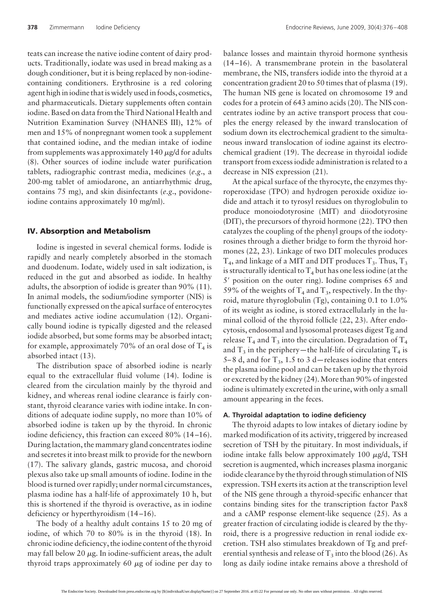teats can increase the native iodine content of dairy products. Traditionally, iodate was used in bread making as a dough conditioner, but it is being replaced by non-iodinecontaining conditioners. Erythrosine is a red coloring agent high in iodine that is widely used in foods, cosmetics, and pharmaceuticals. Dietary supplements often contain iodine. Based on data from the Third National Health and Nutrition Examination Survey (NHANES III), 12% of men and 15% of nonpregnant women took a supplement that contained iodine, and the median intake of iodine from supplements was approximately 140  $\mu$ g/d for adults (8). Other sources of iodine include water purification tablets, radiographic contrast media, medicines (*e*.*g*., a 200-mg tablet of amiodarone, an antiarrhythmic drug, contains 75 mg), and skin disinfectants (*e*.*g*., povidoneiodine contains approximately 10 mg/ml).

# **IV. Absorption and Metabolism**

Iodine is ingested in several chemical forms. Iodide is rapidly and nearly completely absorbed in the stomach and duodenum. Iodate, widely used in salt iodization, is reduced in the gut and absorbed as iodide. In healthy adults, the absorption of iodide is greater than 90% (11). In animal models, the sodium/iodine symporter (NIS) is functionally expressed on the apical surface of enterocytes and mediates active iodine accumulation (12). Organically bound iodine is typically digested and the released iodide absorbed, but some forms may be absorbed intact; for example, approximately 70% of an oral dose of  $T_4$  is absorbed intact (13).

The distribution space of absorbed iodine is nearly equal to the extracellular fluid volume (14). Iodine is cleared from the circulation mainly by the thyroid and kidney, and whereas renal iodine clearance is fairly constant, thyroid clearance varies with iodine intake. In conditions of adequate iodine supply, no more than 10% of absorbed iodine is taken up by the thyroid. In chronic iodine deficiency, this fraction can exceed 80% (14 –16). During lactation, the mammary gland concentrates iodine and secretes it into breast milk to provide for the newborn (17). The salivary glands, gastric mucosa, and choroid plexus also take up small amounts of iodine. Iodine in the blood is turned over rapidly; under normal circumstances, plasma iodine has a half-life of approximately 10 h, but this is shortened if the thyroid is overactive, as in iodine deficiency or hyperthyroidism (14 –16).

The body of a healthy adult contains 15 to 20 mg of iodine, of which 70 to 80% is in the thyroid (18). In chronic iodine deficiency, the iodine content of the thyroid may fall below 20  $\mu$ g. In iodine-sufficient areas, the adult thyroid traps approximately 60  $\mu$ g of iodine per day to

balance losses and maintain thyroid hormone synthesis (14 –16). A transmembrane protein in the basolateral membrane, the NIS, transfers iodide into the thyroid at a concentration gradient 20 to 50 times that of plasma (19). The human NIS gene is located on chromosome 19 and codes for a protein of 643 amino acids (20). The NIS concentrates iodine by an active transport process that couples the energy released by the inward translocation of sodium down its electrochemical gradient to the simultaneous inward translocation of iodine against its electrochemical gradient (19). The decrease in thyroidal iodide transport from excess iodide administration is related to a decrease in NIS expression (21).

At the apical surface of the thyrocyte, the enzymes thyroperoxidase (TPO) and hydrogen peroxide oxidize iodide and attach it to tyrosyl residues on thyroglobulin to produce monoiodotyrosine (MIT) and diiodotyrosine (DIT), the precursors of thyroid hormone (22). TPO then catalyzes the coupling of the phenyl groups of the iodotyrosines through a diether bridge to form the thyroid hormones (22, 23). Linkage of two DIT molecules produces  $T_4$ , and linkage of a MIT and DIT produces  $T_3$ . Thus,  $T_3$ is structurally identical to  $T_4$  but has one less iodine (at the  $5'$  position on the outer ring). Iodine comprises 65 and 59% of the weights of  $T_4$  and  $T_3$ , respectively. In the thyroid, mature thyroglobulin (Tg), containing 0.1 to 1.0% of its weight as iodine, is stored extracellularly in the luminal colloid of the thyroid follicle (22, 23). After endocytosis, endosomal and lysosomal proteases digest Tg and release  $T_4$  and  $T_3$  into the circulation. Degradation of  $T_4$ and  $T_3$  in the periphery—the half-life of circulating  $T_4$  is 5–8 d, and for  $T_3$ , 1.5 to 3 d—releases iodine that enters the plasma iodine pool and can be taken up by the thyroid or excreted by the kidney (24).More than 90% of ingested iodine is ultimately excreted in the urine, with only a small amount appearing in the feces.

#### **A. Thyroidal adaptation to iodine deficiency**

The thyroid adapts to low intakes of dietary iodine by marked modification of its activity, triggered by increased secretion of TSH by the pituitary. In most individuals, if iodine intake falls below approximately 100  $\mu$ g/d, TSH secretion is augmented, which increases plasma inorganic iodide clearance by the thyroid through stimulation of NIS expression. TSH exerts its action at the transcription level of the NIS gene through a thyroid-specific enhancer that contains binding sites for the transcription factor Pax8 and a cAMP response element-like sequence (25). As a greater fraction of circulating iodide is cleared by the thyroid, there is a progressive reduction in renal iodide excretion. TSH also stimulates breakdown of Tg and preferential synthesis and release of  $T_3$  into the blood (26). As long as daily iodine intake remains above a threshold of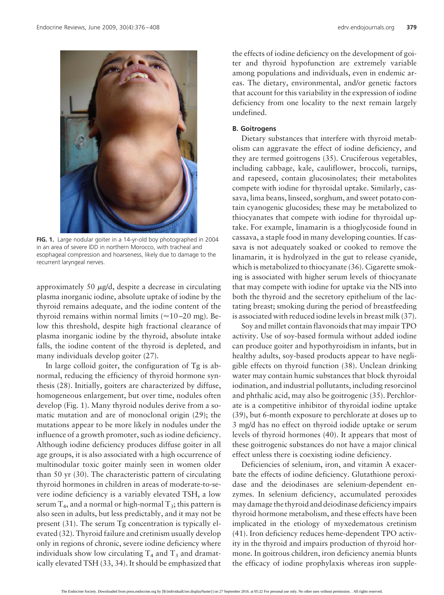

**FIG. 1.** Large nodular goiter in a 14-yr-old boy photographed in 2004 in an area of severe IDD in northern Morocco, with tracheal and esophageal compression and hoarseness, likely due to damage to the recurrent laryngeal nerves.

approximately 50  $\mu$ g/d, despite a decrease in circulating plasma inorganic iodine, absolute uptake of iodine by the thyroid remains adequate, and the iodine content of the thyroid remains within normal limits ( $\approx$ 10–20 mg). Below this threshold, despite high fractional clearance of plasma inorganic iodine by the thyroid, absolute intake falls, the iodine content of the thyroid is depleted, and many individuals develop goiter (27).

In large colloid goiter, the configuration of Tg is abnormal, reducing the efficiency of thyroid hormone synthesis (28). Initially, goiters are characterized by diffuse, homogeneous enlargement, but over time, nodules often develop (Fig. 1). Many thyroid nodules derive from a somatic mutation and are of monoclonal origin (29); the mutations appear to be more likely in nodules under the influence of a growth promoter, such as iodine deficiency. Although iodine deficiency produces diffuse goiter in all age groups, it is also associated with a high occurrence of multinodular toxic goiter mainly seen in women older than 50 yr (30). The characteristic pattern of circulating thyroid hormones in children in areas of moderate-to-severe iodine deficiency is a variably elevated TSH, a low serum  $T_4$ , and a normal or high-normal  $T_3$ ; this pattern is also seen in adults, but less predictably, and it may not be present (31). The serum Tg concentration is typically elevated (32). Thyroid failure and cretinism usually develop only in regions of chronic, severe iodine deficiency where individuals show low circulating  $T_4$  and  $T_3$  and dramatically elevated TSH (33, 34). It should be emphasized that the effects of iodine deficiency on the development of goiter and thyroid hypofunction are extremely variable among populations and individuals, even in endemic areas. The dietary, environmental, and/or genetic factors that account for this variability in the expression of iodine deficiency from one locality to the next remain largely undefined.

#### **B. Goitrogens**

Dietary substances that interfere with thyroid metabolism can aggravate the effect of iodine deficiency, and they are termed goitrogens (35). Cruciferous vegetables, including cabbage, kale, cauliflower, broccoli, turnips, and rapeseed, contain glucosinolates; their metabolites compete with iodine for thyroidal uptake. Similarly, cassava, lima beans, linseed, sorghum, and sweet potato contain cyanogenic glucosides; these may be metabolized to thiocyanates that compete with iodine for thyroidal uptake. For example, linamarin is a thioglycoside found in cassava, a staple food in many developing counties. If cassava is not adequately soaked or cooked to remove the linamarin, it is hydrolyzed in the gut to release cyanide, which is metabolized to thiocyanate (36). Cigarette smoking is associated with higher serum levels of thiocyanate that may compete with iodine for uptake via the NIS into both the thyroid and the secretory epithelium of the lactating breast; smoking during the period of breastfeeding is associated with reduced iodine levels in breast milk (37).

Soy and millet contain flavonoids that may impair TPO activity. Use of soy-based formula without added iodine can produce goiter and hypothyroidism in infants, but in healthy adults, soy-based products appear to have negligible effects on thyroid function (38). Unclean drinking water may contain humic substances that block thyroidal iodination, and industrial pollutants, including resorcinol and phthalic acid, may also be goitrogenic (35). Perchlorate is a competitive inhibitor of thyroidal iodine uptake (39), but 6-month exposure to perchlorate at doses up to 3 mg/d has no effect on thyroid iodide uptake or serum levels of thyroid hormones (40). It appears that most of these goitrogenic substances do not have a major clinical effect unless there is coexisting iodine deficiency.

Deficiencies of selenium, iron, and vitamin A exacerbate the effects of iodine deficiency. Glutathione peroxidase and the deiodinases are selenium-dependent enzymes. In selenium deficiency, accumulated peroxides may damage the thyroid and deiodinase deficiency impairs thyroid hormone metabolism, and these effects have been implicated in the etiology of myxedematous cretinism (41). Iron deficiency reduces heme-dependent TPO activity in the thyroid and impairs production of thyroid hormone. In goitrous children, iron deficiency anemia blunts the efficacy of iodine prophylaxis whereas iron supple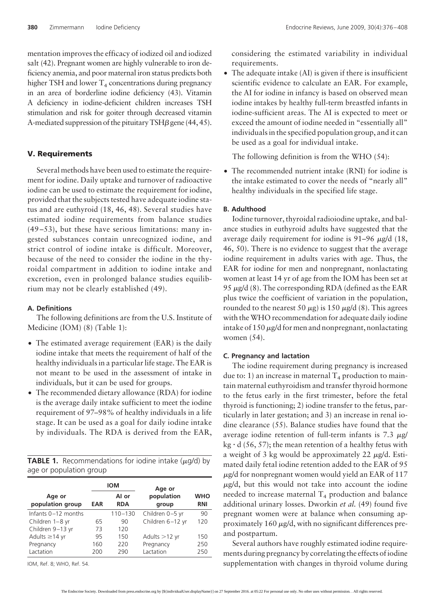mentation improves the efficacy of iodized oil and iodized salt (42). Pregnant women are highly vulnerable to iron deficiency anemia, and poor maternal iron status predicts both higher TSH and lower  $T_4$  concentrations during pregnancy in an area of borderline iodine deficiency (43). Vitamin A deficiency in iodine-deficient children increases TSH stimulation and risk for goiter through decreased vitamin A-mediated suppression of the pituitary TSH $\beta$  gene (44, 45).

### **V. Requirements**

Several methods have been used to estimate the requirement for iodine. Daily uptake and turnover of radioactive iodine can be used to estimate the requirement for iodine, provided that the subjects tested have adequate iodine status and are euthyroid (18, 46, 48). Several studies have estimated iodine requirements from balance studies (49 –53), but these have serious limitations: many ingested substances contain unrecognized iodine, and strict control of iodine intake is difficult. Moreover, because of the need to consider the iodine in the thyroidal compartment in addition to iodine intake and excretion, even in prolonged balance studies equilibrium may not be clearly established (49).

#### **A. Definitions**

The following definitions are from the U.S. Institute of Medicine (IOM) (8) (Table 1):

- The estimated average requirement (EAR) is the daily iodine intake that meets the requirement of half of the healthy individuals in a particular life stage. The EAR is not meant to be used in the assessment of intake in individuals, but it can be used for groups.
- The recommended dietary allowance (RDA) for iodine is the average daily intake sufficient to meet the iodine requirement of 97–98% of healthy individuals in a life stage. It can be used as a goal for daily iodine intake by individuals. The RDA is derived from the EAR,

**TABLE 1.** Recommendations for iodine intake  $(\mu q/d)$  by age or population group

|                            | <b>IOM</b> |                     | Age or              |                          |  |
|----------------------------|------------|---------------------|---------------------|--------------------------|--|
| Age or<br>population group | <b>EAR</b> | Al or<br><b>RDA</b> | population<br>group | <b>WHO</b><br><b>RNI</b> |  |
| Infants $0-12$ months      |            | $110 - 130$         | Children 0-5 yr     | 90                       |  |
| Children 1-8 yr            | 65         | 90                  | Children 6-12 yr    | 120                      |  |
| Children 9-13 yr           | 73         | 120                 |                     |                          |  |
| Adults $\geq$ 14 yr        | 95         | 150                 | Adults $>12$ yr     | 150                      |  |
| Pregnancy                  | 160        | 220                 | Pregnancy           | 250                      |  |
| Lactation                  | 200        | 290                 | Lactation           | 250                      |  |

IOM, Ref. 8; WHO, Ref. 54.

considering the estimated variability in individual requirements.

• The adequate intake (AI) is given if there is insufficient scientific evidence to calculate an EAR. For example, the AI for iodine in infancy is based on observed mean iodine intakes by healthy full-term breastfed infants in iodine-sufficient areas. The AI is expected to meet or exceed the amount of iodine needed in "essentially all" individuals in the specified population group, and it can be used as a goal for individual intake.

The following definition is from the WHO (54):

• The recommended nutrient intake (RNI) for iodine is the intake estimated to cover the needs of "nearly all" healthy individuals in the specified life stage.

# **B. Adulthood**

Iodine turnover, thyroidal radioiodine uptake, and balance studies in euthyroid adults have suggested that the average daily requirement for iodine is  $91-96 \mu g/d$  (18, 46, 50). There is no evidence to suggest that the average iodine requirement in adults varies with age. Thus, the EAR for iodine for men and nonpregnant, nonlactating women at least 14 yr of age from the IOM has been set at 95  $\mu$ g/d (8). The corresponding RDA (defined as the EAR plus twice the coefficient of variation in the population, rounded to the nearest 50  $\mu$ g) is 150  $\mu$ g/d (8). This agrees with theWHO recommendation for adequate daily iodine intake of  $150 \mu g/d$  for men and nonpregnant, nonlactating women (54).

#### **C. Pregnancy and lactation**

The iodine requirement during pregnancy is increased due to: 1) an increase in maternal  $T_4$  production to maintain maternal euthyroidism and transfer thyroid hormone to the fetus early in the first trimester, before the fetal thyroid is functioning; 2) iodine transfer to the fetus, particularly in later gestation; and 3) an increase in renal iodine clearance (55). Balance studies have found that the average iodine retention of full-term infants is 7.3  $\mu$ g/  $kg \cdot d$  (56, 57); the mean retention of a healthy fetus with a weight of 3 kg would be approximately 22  $\mu$ g/d. Estimated daily fetal iodine retention added to the EAR of 95  $\mu$ g/d for nonpregnant women would yield an EAR of 117  $\mu$ g/d, but this would not take into account the iodine needed to increase maternal  $T_4$  production and balance additional urinary losses. Dworkin *et al.* (49) found five pregnant women were at balance when consuming approximately 160  $\mu$ g/d, with no significant differences preand postpartum.

Several authors have roughly estimated iodine requirements during pregnancy by correlating the effects of iodine supplementation with changes in thyroid volume during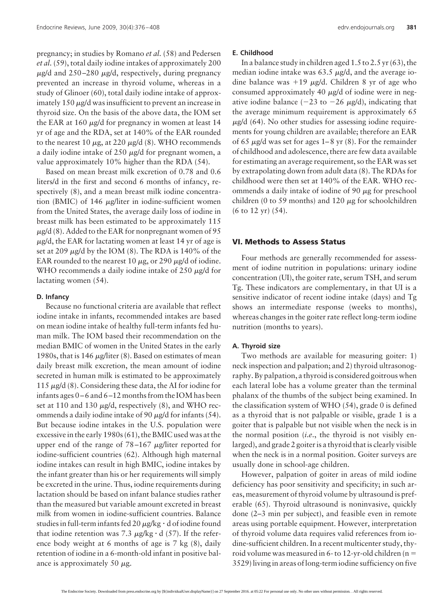pregnancy; in studies by Romano *et al.* (58) and Pedersen *et al.* (59), total daily iodine intakes of approximately 200  $\mu$ g/d and 250–280  $\mu$ g/d, respectively, during pregnancy prevented an increase in thyroid volume, whereas in a study of Glinoer (60), total daily iodine intake of approximately  $150 \mu g/d$  was insufficient to prevent an increase in thyroid size. On the basis of the above data, the IOM set the EAR at 160  $\mu$ g/d for pregnancy in women at least 14 yr of age and the RDA, set at 140% of the EAR rounded to the nearest 10  $\mu$ g, at 220  $\mu$ g/d (8). WHO recommends a daily iodine intake of  $250 \mu g/d$  for pregnant women, a value approximately 10% higher than the RDA (54).

Based on mean breast milk excretion of 0.78 and 0.6 liters/d in the first and second 6 months of infancy, respectively (8), and a mean breast milk iodine concentration (BMIC) of  $146 \mu$ g/liter in iodine-sufficient women from the United States, the average daily loss of iodine in breast milk has been estimated to be approximately 115  $\mu$ g/d (8). Added to the EAR for nonpregnant women of 95  $\mu$ g/d, the EAR for lactating women at least 14 yr of age is set at 209  $\mu$ g/d by the IOM (8). The RDA is 140% of the EAR rounded to the nearest 10  $\mu$ g, or 290  $\mu$ g/d of iodine. WHO recommends a daily iodine intake of 250  $\mu$ g/d for lactating women (54).

# **D. Infancy**

Because no functional criteria are available that reflect iodine intake in infants, recommended intakes are based on mean iodine intake of healthy full-term infants fed human milk. The IOM based their recommendation on the median BMIC of women in the United States in the early 1980s, that is 146  $\mu$ g/liter (8). Based on estimates of mean daily breast milk excretion, the mean amount of iodine secreted in human milk is estimated to be approximately 115  $\mu$ g/d (8). Considering these data, the AI for iodine for infants ages 0 – 6 and 6 –12 months from the IOM has been set at 110 and 130  $\mu$ g/d, respectively (8), and WHO recommends a daily iodine intake of 90  $\mu$ g/d for infants (54). But because iodine intakes in the U.S. population were excessive in the early 1980s (61), the BMIC used was at the upper end of the range of  $78-167 \mu$ g/liter reported for iodine-sufficient countries (62). Although high maternal iodine intakes can result in high BMIC, iodine intakes by the infant greater than his or her requirements will simply be excreted in the urine. Thus, iodine requirements during lactation should be based on infant balance studies rather than the measured but variable amount excreted in breast milk from women in iodine-sufficient countries. Balance studies in full-term infants fed 20  $\mu$ g/kg  $\cdot$  d of iodine found that iodine retention was 7.3  $\mu$ g/kg · d (57). If the reference body weight at 6 months of age is 7 kg (8), daily retention of iodine in a 6-month-old infant in positive balance is approximately 50  $\mu$ g.

# **E. Childhood**

In a balance study in children aged 1.5 to 2.5 yr (63), the median iodine intake was  $63.5 \mu g/d$ , and the average iodine balance was  $+19 \mu g/d$ . Children 8 yr of age who consumed approximately 40  $\mu$ g/d of iodine were in negative iodine balance ( $-23$  to  $-26 \mu g/d$ ), indicating that the average minimum requirement is approximately 65  $\mu$ g/d (64). No other studies for assessing iodine requirements for young children are available; therefore an EAR of 65  $\mu$ g/d was set for ages 1–8 yr (8). For the remainder of childhood and adolescence, there are few data available for estimating an average requirement, so the EAR was set by extrapolating down from adult data (8). The RDAs for childhood were then set at 140% of the EAR. WHO recommends a daily intake of iodine of 90  $\mu$ g for preschool children (0 to 59 months) and 120  $\mu$ g for schoolchildren (6 to 12 yr) (54).

# **VI. Methods to Assess Status**

Four methods are generally recommended for assessment of iodine nutrition in populations: urinary iodine concentration (UI), the goiter rate, serum TSH, and serum Tg. These indicators are complementary, in that UI is a sensitive indicator of recent iodine intake (days) and Tg shows an intermediate response (weeks to months), whereas changes in the goiter rate reflect long-term iodine nutrition (months to years).

#### **A. Thyroid size**

Two methods are available for measuring goiter: 1) neck inspection and palpation; and 2) thyroid ultrasonography. By palpation, a thyroid is considered goitrous when each lateral lobe has a volume greater than the terminal phalanx of the thumbs of the subject being examined. In the classification system of WHO (54), grade 0 is defined as a thyroid that is not palpable or visible, grade 1 is a goiter that is palpable but not visible when the neck is in the normal position (*i*.*e*., the thyroid is not visibly enlarged), and grade 2 goiter is a thyroid that is clearly visible when the neck is in a normal position. Goiter surveys are usually done in school-age children.

However, palpation of goiter in areas of mild iodine deficiency has poor sensitivity and specificity; in such areas, measurement of thyroid volume by ultrasound is preferable (65). Thyroid ultrasound is noninvasive, quickly done (2–3 min per subject), and feasible even in remote areas using portable equipment. However, interpretation of thyroid volume data requires valid references from iodine-sufficient children. In a recent multicenter study, thyroid volume was measured in 6- to 12-yr-old children (n 3529) living in areas of long-term iodine sufficiency on five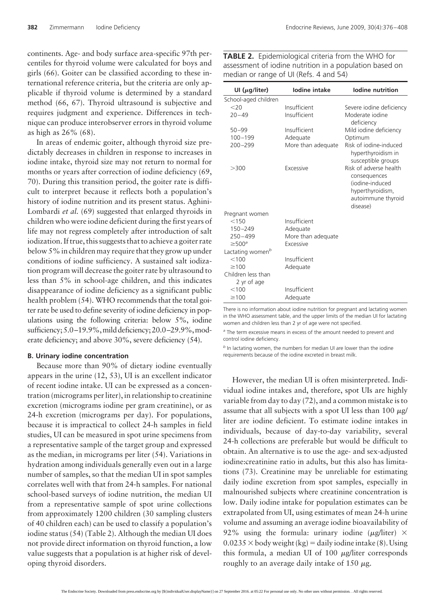continents. Age- and body surface area-specific 97th percentiles for thyroid volume were calculated for boys and girls (66). Goiter can be classified according to these international reference criteria, but the criteria are only applicable if thyroid volume is determined by a standard method (66, 67). Thyroid ultrasound is subjective and requires judgment and experience. Differences in technique can produce interobserver errors in thyroid volume as high as 26% (68).

In areas of endemic goiter, although thyroid size predictably decreases in children in response to increases in iodine intake, thyroid size may not return to normal for months or years after correction of iodine deficiency (69, 70). During this transition period, the goiter rate is difficult to interpret because it reflects both a population's history of iodine nutrition and its present status. Aghini-Lombardi *et al.* (69) suggested that enlarged thyroids in children who were iodine deficient during the first years of life may not regress completely after introduction of salt iodization. If true, this suggests that to achieve a goiter rate below 5% in children may require that they grow up under conditions of iodine sufficiency. A sustained salt iodization program will decrease the goiter rate by ultrasound to less than 5% in school-age children, and this indicates disappearance of iodine deficiency as a significant public health problem (54). WHO recommends that the total goiter rate be used to define severity of iodine deficiency in populations using the following criteria: below 5%, iodine sufficiency; 5.0-19.9%, mild deficiency; 20.0-29.9%, moderate deficiency; and above 30%, severe deficiency (54).

#### **B. Urinary iodine concentration**

Because more than 90% of dietary iodine eventually appears in the urine (12, 53), UI is an excellent indicator of recent iodine intake. UI can be expressed as a concentration (micrograms per liter), in relationship to creatinine excretion (micrograms iodine per gram creatinine), or as 24-h excretion (micrograms per day). For populations, because it is impractical to collect 24-h samples in field studies, UI can be measured in spot urine specimens from a representative sample of the target group and expressed as the median, in micrograms per liter (54). Variations in hydration among individuals generally even out in a large number of samples, so that the median UI in spot samples correlates well with that from 24-h samples. For national school-based surveys of iodine nutrition, the median UI from a representative sample of spot urine collections from approximately 1200 children (30 sampling clusters of 40 children each) can be used to classify a population's iodine status (54) (Table 2). Although the median UI does not provide direct information on thyroid function, a low value suggests that a population is at higher risk of developing thyroid disorders.

**TABLE 2.** Epidemiological criteria from the WHO for assessment of iodine nutrition in a population based on median or range of UI (Refs. 4 and 54)

| UI ( $\mu$ g/liter)          | lodine intake      | <b>Iodine nutrition</b>                                                                                         |
|------------------------------|--------------------|-----------------------------------------------------------------------------------------------------------------|
| School-aged children         |                    |                                                                                                                 |
| $<$ 20                       | Insufficient       | Severe iodine deficiency                                                                                        |
| $20 - 49$                    | Insufficient       | Moderate iodine<br>deficiency                                                                                   |
| $50 - 99$                    | Insufficient       | Mild iodine deficiency                                                                                          |
| $100 - 199$                  | Adequate           | Optimum                                                                                                         |
| $200 - 299$                  | More than adequate | Risk of iodine-induced<br>hyperthyroidism in<br>susceptible groups                                              |
| >300                         | Excessive          | Risk of adverse health<br>consequences<br>(iodine-induced<br>hyperthyroidism,<br>autoimmune thyroid<br>disease) |
| Pregnant women               |                    |                                                                                                                 |
| < 150                        | Insufficient       |                                                                                                                 |
| $150 - 249$                  | Adequate           |                                                                                                                 |
| $250 - 499$                  | More than adequate |                                                                                                                 |
| $\geq$ 500 <sup>a</sup>      | Excessive          |                                                                                                                 |
| Lactating women <sup>b</sup> |                    |                                                                                                                 |
| < 100                        | Insufficient       |                                                                                                                 |
| $\geq 100$                   | Adequate           |                                                                                                                 |
| Children less than           |                    |                                                                                                                 |
| 2 yr of age                  |                    |                                                                                                                 |
| < 100                        | Insufficient       |                                                                                                                 |
| $\geq 100$                   | Adequate           |                                                                                                                 |

There is no information about iodine nutrition for pregnant and lactating women in the WHO assessment table, and the upper limits of the median UI for lactating women and children less than 2 yr of age were not specified.

*<sup>a</sup>* The term excessive means in excess of the amount needed to prevent and control iodine deficiency.

*<sup>b</sup>* In lactating women, the numbers for median UI are lower than the iodine requirements because of the iodine excreted in breast milk.

However, the median UI is often misinterpreted. Individual iodine intakes and, therefore, spot UIs are highly variable from day to day (72), and a common mistake is to assume that all subjects with a spot UI less than 100  $\mu$ g/ liter are iodine deficient. To estimate iodine intakes in individuals, because of day-to-day variability, several 24-h collections are preferable but would be difficult to obtain. An alternative is to use the age- and sex-adjusted iodine:creatinine ratio in adults, but this also has limitations (73). Creatinine may be unreliable for estimating daily iodine excretion from spot samples, especially in malnourished subjects where creatinine concentration is low. Daily iodine intake for population estimates can be extrapolated from UI, using estimates of mean 24-h urine volume and assuming an average iodine bioavailability of 92% using the formula: urinary iodine ( $\mu$ g/liter)  $\times$  $0.0235 \times$  body weight (kg) = daily iodine intake (8). Using this formula, a median UI of  $100 \mu$ g/liter corresponds roughly to an average daily intake of  $150 \mu$ g.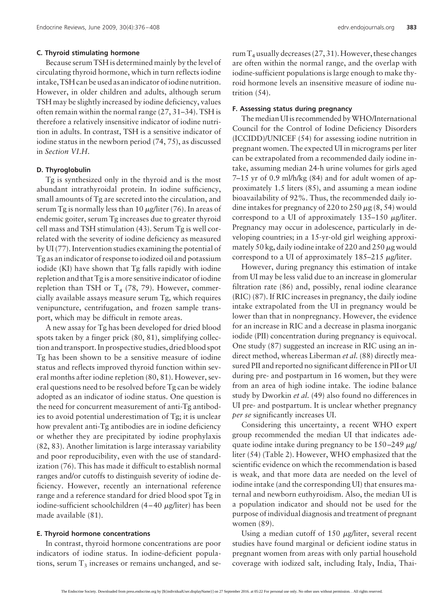#### **C. Thyroid stimulating hormone**

Because serum TSH is determined mainly by the level of circulating thyroid hormone, which in turn reflects iodine intake, TSH can be used as an indicator of iodine nutrition. However, in older children and adults, although serum TSH may be slightly increased by iodine deficiency, values often remain within the normal range (27, 31–34). TSH is therefore a relatively insensitive indicator of iodine nutrition in adults. In contrast, TSH is a sensitive indicator of iodine status in the newborn period (74, 75), as discussed in *Section VI*.*H*.

#### **D. Thyroglobulin**

Tg is synthesized only in the thyroid and is the most abundant intrathyroidal protein. In iodine sufficiency, small amounts of Tg are secreted into the circulation, and serum Tg is normally less than 10  $\mu$ g/liter (76). In areas of endemic goiter, serum Tg increases due to greater thyroid cell mass and TSH stimulation (43). Serum Tg is well correlated with the severity of iodine deficiency as measured by UI (77). Intervention studies examining the potential of Tg as an indicator of response to iodized oil and potassium iodide (KI) have shown that Tg falls rapidly with iodine repletion and that Tg is a more sensitive indicator of iodine repletion than TSH or  $T_4$  (78, 79). However, commercially available assays measure serum Tg, which requires venipuncture, centrifugation, and frozen sample transport, which may be difficult in remote areas.

A new assay for Tg has been developed for dried blood spots taken by a finger prick (80, 81), simplifying collection and transport. In prospective studies, dried blood spot Tg has been shown to be a sensitive measure of iodine status and reflects improved thyroid function within several months after iodine repletion (80, 81). However, several questions need to be resolved before Tg can be widely adopted as an indicator of iodine status. One question is the need for concurrent measurement of anti-Tg antibodies to avoid potential underestimation of Tg; it is unclear how prevalent anti-Tg antibodies are in iodine deficiency or whether they are precipitated by iodine prophylaxis (82, 83). Another limitation is large interassay variability and poor reproducibility, even with the use of standardization (76). This has made it difficult to establish normal ranges and/or cutoffs to distinguish severity of iodine deficiency. However, recently an international reference range and a reference standard for dried blood spot Tg in iodine-sufficient schoolchildren  $(4-40 \mu g/l$ iter) has been made available (81).

# **E. Thyroid hormone concentrations**

In contrast, thyroid hormone concentrations are poor indicators of iodine status. In iodine-deficient populations, serum  $T_3$  increases or remains unchanged, and serum  $T_4$  usually decreases (27, 31). However, these changes are often within the normal range, and the overlap with iodine-sufficient populations is large enough to make thyroid hormone levels an insensitive measure of iodine nutrition (54).

#### **F. Assessing status during pregnancy**

The median UI is recommended byWHO/International Council for the Control of Iodine Deficiency Disorders (ICCIDD)/UNICEF (54) for assessing iodine nutrition in pregnant women. The expected UI in micrograms per liter can be extrapolated from a recommended daily iodine intake, assuming median 24-h urine volumes for girls aged 7–15 yr of 0.9 ml/h/kg (84) and for adult women of approximately 1.5 liters (85), and assuming a mean iodine bioavailability of 92%. Thus, the recommended daily iodine intakes for pregnancy of 220 to 250  $\mu$ g (8, 54) would correspond to a UI of approximately  $135-150 \mu g/l$ liter. Pregnancy may occur in adolescence, particularly in developing countries; in a 15-yr-old girl weighing approximately 50 kg, daily iodine intake of 220 and 250  $\mu$ g would correspond to a UI of approximately  $185-215 \mu g/l$ 

However, during pregnancy this estimation of intake from UI may be less valid due to an increase in glomerular filtration rate (86) and, possibly, renal iodine clearance (RIC) (87). If RIC increases in pregnancy, the daily iodine intake extrapolated from the UI in pregnancy would be lower than that in nonpregnancy. However, the evidence for an increase in RIC and a decrease in plasma inorganic iodide (PII) concentration during pregnancy is equivocal. One study (87) suggested an increase in RIC using an indirect method, whereas Liberman *et al.* (88) directly measured PII and reported no significant difference in PII or UI during pre- and postpartum in 16 women, but they were from an area of high iodine intake. The iodine balance study by Dworkin *et al.* (49) also found no differences in UI pre- and postpartum. It is unclear whether pregnancy *per se* significantly increases UI.

Considering this uncertainty, a recent WHO expert group recommended the median UI that indicates adequate iodine intake during pregnancy to be  $150-249 \mu g$ / liter (54) (Table 2). However, WHO emphasized that the scientific evidence on which the recommendation is based is weak, and that more data are needed on the level of iodine intake (and the corresponding UI) that ensures maternal and newborn euthyroidism. Also, the median UI is a population indicator and should not be used for the purpose of individual diagnosis and treatment of pregnant women (89).

Using a median cutoff of  $150 \mu g/l$ iter, several recent studies have found marginal or deficient iodine status in pregnant women from areas with only partial household coverage with iodized salt, including Italy, India, Thai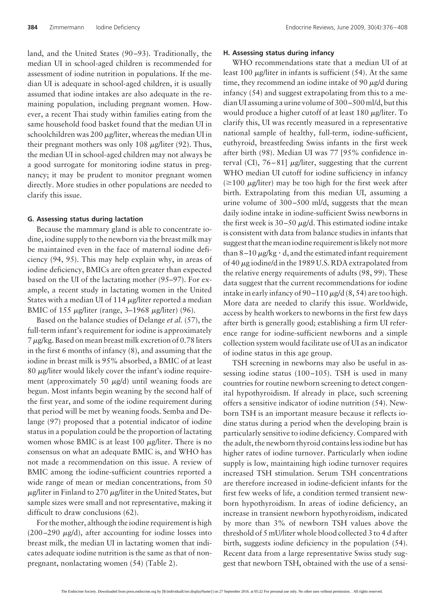land, and the United States (90–93). Traditionally, the median UI in school-aged children is recommended for assessment of iodine nutrition in populations. If the median UI is adequate in school-aged children, it is usually assumed that iodine intakes are also adequate in the remaining population, including pregnant women. However, a recent Thai study within families eating from the same household food basket found that the median UI in schoolchildren was  $200 \mu$ g/liter, whereas the median UI in their pregnant mothers was only 108  $\mu$ g/liter (92). Thus, the median UI in school-aged children may not always be a good surrogate for monitoring iodine status in pregnancy; it may be prudent to monitor pregnant women directly. More studies in other populations are needed to clarify this issue.

#### **G. Assessing status during lactation**

Because the mammary gland is able to concentrate iodine, iodine supply to the newborn via the breast milk may be maintained even in the face of maternal iodine deficiency (94, 95). This may help explain why, in areas of iodine deficiency, BMICs are often greater than expected based on the UI of the lactating mother (95–97). For example, a recent study in lactating women in the United States with a median UI of 114  $\mu$ g/liter reported a median BMIC of 155  $\mu$ g/liter (range, 3–1968  $\mu$ g/liter) (96).

Based on the balance studies of Delange *et al.* (57), the full-term infant's requirement for iodine is approximately  $7 \mu$ g/kg. Based on mean breast milk excretion of 0.78 liters in the first 6 months of infancy (8), and assuming that the iodine in breast milk is 95% absorbed, a BMIC of at least  $80 \mu g/l$  iter would likely cover the infant's iodine requirement (approximately 50  $\mu$ g/d) until weaning foods are begun. Most infants begin weaning by the second half of the first year, and some of the iodine requirement during that period will be met by weaning foods. Semba and Delange (97) proposed that a potential indicator of iodine status in a population could be the proportion of lactating women whose BMIC is at least  $100 \mu$ g/liter. There is no consensus on what an adequate BMIC is, and WHO has not made a recommendation on this issue. A review of BMIC among the iodine-sufficient countries reported a wide range of mean or median concentrations, from 50  $\mu$ g/liter in Finland to 270  $\mu$ g/liter in the United States, but sample sizes were small and not representative, making it difficult to draw conclusions (62).

For the mother, although the iodine requirement is high  $(200-290 \mu g/d)$ , after accounting for iodine losses into breast milk, the median UI in lactating women that indicates adequate iodine nutrition is the same as that of nonpregnant, nonlactating women (54) (Table 2).

# **H. Assessing status during infancy**

WHO recommendations state that a median UI of at least 100  $\mu$ g/liter in infants is sufficient (54). At the same time, they recommend an iodine intake of 90  $\mu$ g/d during infancy (54) and suggest extrapolating from this to a median UI assuming a urine volume of 300 –500 ml/d, but this would produce a higher cutoff of at least  $180 \mu$ g/liter. To clarify this, UI was recently measured in a representative national sample of healthy, full-term, iodine-sufficient, euthyroid, breastfeeding Swiss infants in the first week after birth (98). Median UI was 77 [95% confidence interval (CI),  $76 - 81$ ]  $\mu$ g/liter, suggesting that the current WHO median UI cutoff for iodine sufficiency in infancy  $(\geq 100 \mu g/l$ iter) may be too high for the first week after birth. Extrapolating from this median UI, assuming a urine volume of 300 –500 ml/d, suggests that the mean daily iodine intake in iodine-sufficient Swiss newborns in the first week is  $30-50 \mu g/d$ . This estimated iodine intake is consistent with data from balance studies in infants that suggest that the mean iodine requirement is likely not more than  $8-10 \mu g/kg \cdot d$ , and the estimated infant requirement of 40 µg iodine/d in the 1989 U.S. RDA extrapolated from the relative energy requirements of adults (98, 99). These data suggest that the current recommendations for iodine intake in early infancy of 90–110  $\mu$ g/d (8, 54) are too high. More data are needed to clarify this issue. Worldwide, access by health workers to newborns in the first few days after birth is generally good; establishing a firm UI reference range for iodine-sufficient newborns and a simple collection system would facilitate use of UI as an indicator of iodine status in this age group.

TSH screening in newborns may also be useful in assessing iodine status (100–105). TSH is used in many countries for routine newborn screening to detect congenital hypothyroidism. If already in place, such screening offers a sensitive indicator of iodine nutrition (54). Newborn TSH is an important measure because it reflects iodine status during a period when the developing brain is particularly sensitive to iodine deficiency. Compared with the adult, the newborn thyroid contains less iodine but has higher rates of iodine turnover. Particularly when iodine supply is low, maintaining high iodine turnover requires increased TSH stimulation. Serum TSH concentrations are therefore increased in iodine-deficient infants for the first few weeks of life, a condition termed transient newborn hypothyroidism. In areas of iodine deficiency, an increase in transient newborn hypothyroidism, indicated by more than 3% of newborn TSH values above the threshold of 5 mU/liter whole blood collected 3 to 4 d after birth, suggests iodine deficiency in the population (54). Recent data from a large representative Swiss study suggest that newborn TSH, obtained with the use of a sensi-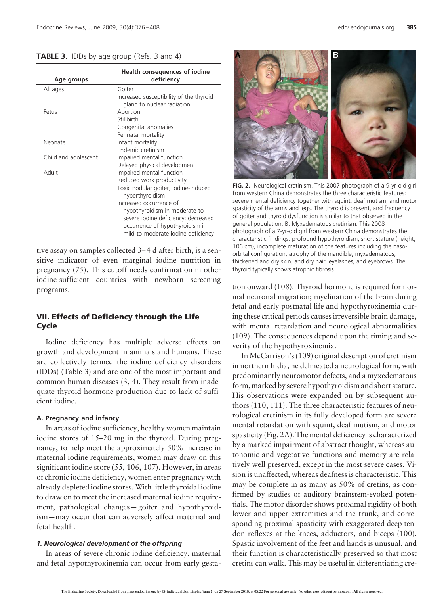# **TABLE 3.** IDDs by age group (Refs. 3 and 4)

| Age groups           | Health consequences of iodine<br>deficiency |
|----------------------|---------------------------------------------|
| All ages             | Goiter                                      |
|                      | Increased susceptibility of the thyroid     |
|                      | gland to nuclear radiation                  |
| Fetus                | Abortion                                    |
|                      | Stillbirth                                  |
|                      | Congenital anomalies                        |
|                      | Perinatal mortality                         |
| Neonate              | Infant mortality                            |
|                      | Endemic cretinism                           |
| Child and adolescent | Impaired mental function                    |
|                      | Delayed physical development                |
| Adult                | Impaired mental function                    |
|                      | Reduced work productivity                   |
|                      | Toxic nodular goiter; iodine-induced        |
|                      | hyperthyroidism                             |
|                      | Increased occurrence of                     |
|                      | hypothyroidism in moderate-to-              |
|                      | severe iodine deficiency; decreased         |
|                      | occurrence of hypothyroidism in             |
|                      | mild-to-moderate iodine deficiency          |

tive assay on samples collected 3– 4 d after birth, is a sensitive indicator of even marginal iodine nutrition in pregnancy (75). This cutoff needs confirmation in other iodine-sufficient countries with newborn screening programs.

# **VII. Effects of Deficiency through the Life Cycle**

Iodine deficiency has multiple adverse effects on growth and development in animals and humans. These are collectively termed the iodine deficiency disorders (IDDs) (Table 3) and are one of the most important and common human diseases (3, 4). They result from inadequate thyroid hormone production due to lack of sufficient iodine.

#### **A. Pregnancy and infancy**

In areas of iodine sufficiency, healthy women maintain iodine stores of 15–20 mg in the thyroid. During pregnancy, to help meet the approximately 50% increase in maternal iodine requirements, women may draw on this significant iodine store (55, 106, 107). However, in areas of chronic iodine deficiency, women enter pregnancy with already depleted iodine stores. With little thyroidal iodine to draw on to meet the increased maternal iodine requirement, pathological changes— goiter and hypothyroidism—may occur that can adversely affect maternal and fetal health.

### *1. Neurological development of the offspring*

In areas of severe chronic iodine deficiency, maternal and fetal hypothyroxinemia can occur from early gesta-



**FIG. 2.** Neurological cretinism. This 2007 photograph of a 9-yr-old girl from western China demonstrates the three characteristic features: severe mental deficiency together with squint, deaf mutism, and motor spasticity of the arms and legs. The thyroid is present, and frequency of goiter and thyroid dysfunction is similar to that observed in the general population. B, Myxedematous cretinism. This 2008 photograph of a 7-yr-old girl from western China demonstrates the characteristic findings: profound hypothyroidism, short stature (height, 106 cm), incomplete maturation of the features including the nasoorbital configuration, atrophy of the mandible, myxedematous, thickened and dry skin, and dry hair, eyelashes, and eyebrows. The thyroid typically shows atrophic fibrosis.

tion onward (108). Thyroid hormone is required for normal neuronal migration; myelination of the brain during fetal and early postnatal life and hypothyroxinemia during these critical periods causes irreversible brain damage, with mental retardation and neurological abnormalities (109). The consequences depend upon the timing and severity of the hypothyroxinemia.

In McCarrison's (109) original description of cretinism in northern India, he delineated a neurological form, with predominantly neuromotor defects, and a myxedematous form, marked by severe hypothyroidism and short stature. His observations were expanded on by subsequent authors (110, 111). The three characteristic features of neurological cretinism in its fully developed form are severe mental retardation with squint, deaf mutism, and motor spasticity (Fig. 2A). The mental deficiency is characterized by a marked impairment of abstract thought, whereas autonomic and vegetative functions and memory are relatively well preserved, except in the most severe cases. Vision is unaffected, whereas deafness is characteristic. This may be complete in as many as 50% of cretins, as confirmed by studies of auditory brainstem-evoked potentials. The motor disorder shows proximal rigidity of both lower and upper extremities and the trunk, and corresponding proximal spasticity with exaggerated deep tendon reflexes at the knees, adductors, and biceps (100). Spastic involvement of the feet and hands is unusual, and their function is characteristically preserved so that most cretins can walk. This may be useful in differentiating cre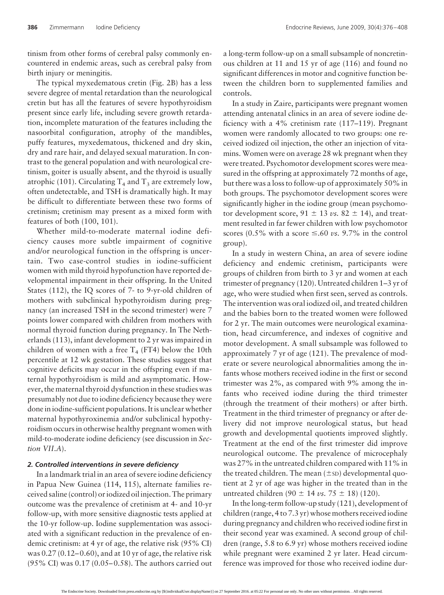tinism from other forms of cerebral palsy commonly encountered in endemic areas, such as cerebral palsy from birth injury or meningitis.

The typical myxedematous cretin (Fig. 2B) has a less severe degree of mental retardation than the neurological cretin but has all the features of severe hypothyroidism present since early life, including severe growth retardation, incomplete maturation of the features including the nasoorbital configuration, atrophy of the mandibles, puffy features, myxedematous, thickened and dry skin, dry and rare hair, and delayed sexual maturation. In contrast to the general population and with neurological cretinism, goiter is usually absent, and the thyroid is usually atrophic (101). Circulating  $T_4$  and  $T_3$  are extremely low, often undetectable, and TSH is dramatically high. It may be difficult to differentiate between these two forms of cretinism; cretinism may present as a mixed form with features of both (100, 101).

Whether mild-to-moderate maternal iodine deficiency causes more subtle impairment of cognitive and/or neurological function in the offspring is uncertain. Two case-control studies in iodine-sufficient women with mild thyroid hypofunction have reported developmental impairment in their offspring. In the United States (112), the IQ scores of 7- to 9-yr-old children of mothers with subclinical hypothyroidism during pregnancy (an increased TSH in the second trimester) were 7 points lower compared with children from mothers with normal thyroid function during pregnancy. In The Netherlands (113), infant development to 2 yr was impaired in children of women with a free  $T_4$  (FT4) below the 10th percentile at 12 wk gestation. These studies suggest that cognitive deficits may occur in the offspring even if maternal hypothyroidism is mild and asymptomatic. However, the maternal thyroid dysfunction in these studies was presumably not due to iodine deficiency because they were done in iodine-sufficient populations. It is unclear whether maternal hypothyroxinemia and/or subclinical hypothyroidism occurs in otherwise healthy pregnant women with mild-to-moderate iodine deficiency (see discussion in *Section VII*.*A*).

#### *2. Controlled interventions in severe deficiency*

In a landmark trial in an area of severe iodine deficiency in Papua New Guinea (114, 115), alternate families received saline (control) or iodized oil injection. The primary outcome was the prevalence of cretinism at 4- and 10-yr follow-up, with more sensitive diagnostic tests applied at the 10-yr follow-up. Iodine supplementation was associated with a significant reduction in the prevalence of endemic cretinism: at 4 yr of age, the relative risk (95% CI) was  $0.27(0.12-0.60)$ , and at 10 yr of age, the relative risk (95% CI) was 0.17 (0.05– 0.58). The authors carried out

a long-term follow-up on a small subsample of noncretinous children at 11 and 15 yr of age (116) and found no significant differences in motor and cognitive function between the children born to supplemented families and controls.

In a study in Zaire, participants were pregnant women attending antenatal clinics in an area of severe iodine deficiency with a 4% cretinism rate (117–119). Pregnant women were randomly allocated to two groups: one received iodized oil injection, the other an injection of vitamins. Women were on average 28 wk pregnant when they were treated. Psychomotor development scores were measured in the offspring at approximately 72 months of age, but there was a loss to follow-up of approximately 50% in both groups. The psychomotor development scores were significantly higher in the iodine group (mean psychomotor development score,  $91 \pm 13$  *vs.*  $82 \pm 14$ , and treatment resulted in far fewer children with low psychomotor scores (0.5% with a score  $\leq 0.60 \text{ vs. } 9.7\%$  in the control group).

In a study in western China, an area of severe iodine deficiency and endemic cretinism, participants were groups of children from birth to 3 yr and women at each trimester of pregnancy (120). Untreated children 1–3 yr of age, who were studied when first seen, served as controls. The intervention was oral iodized oil, and treated children and the babies born to the treated women were followed for 2 yr. The main outcomes were neurological examination, head circumference, and indexes of cognitive and motor development. A small subsample was followed to approximately 7 yr of age (121). The prevalence of moderate or severe neurological abnormalities among the infants whose mothers received iodine in the first or second trimester was 2%, as compared with 9% among the infants who received iodine during the third trimester (through the treatment of their mothers) or after birth. Treatment in the third trimester of pregnancy or after delivery did not improve neurological status, but head growth and developmental quotients improved slightly. Treatment at the end of the first trimester did improve neurological outcome. The prevalence of microcephaly was 27% in the untreated children compared with 11% in the treated children. The mean  $(\pm s_D)$  developmental quotient at 2 yr of age was higher in the treated than in the untreated children (90  $\pm$  14 *vs.* 75  $\pm$  18) (120).

In the long-term follow-up study (121), development of children (range, 4 to 7.3 yr) whose mothers received iodine during pregnancy and children who received iodine first in their second year was examined. A second group of children (range, 5.8 to 6.9 yr) whose mothers received iodine while pregnant were examined 2 yr later. Head circumference was improved for those who received iodine dur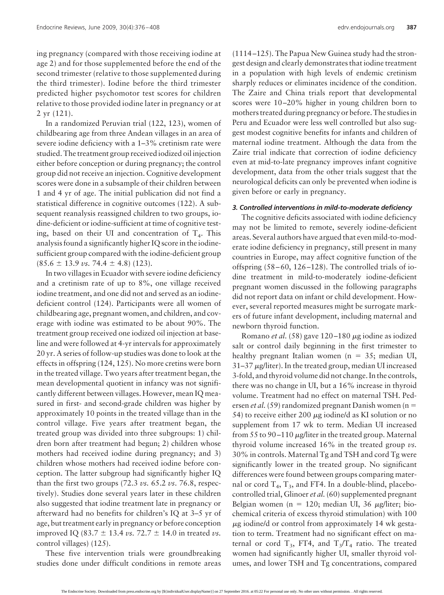ing pregnancy (compared with those receiving iodine at age 2) and for those supplemented before the end of the second trimester (relative to those supplemented during the third trimester). Iodine before the third trimester predicted higher psychomotor test scores for children relative to those provided iodine later in pregnancy or at 2 yr (121).

In a randomized Peruvian trial (122, 123), women of childbearing age from three Andean villages in an area of severe iodine deficiency with a 1–3% cretinism rate were studied. The treatment group received iodized oil injection either before conception or during pregnancy; the control group did not receive an injection. Cognitive development scores were done in a subsample of their children between 1 and 4 yr of age. The initial publication did not find a statistical difference in cognitive outcomes (122). A subsequent reanalysis reassigned children to two groups, iodine-deficient or iodine-sufficient at time of cognitive testing, based on their UI and concentration of  $T<sub>4</sub>$ . This analysis found a significantly higher IQ score in the iodinesufficient group compared with the iodine-deficient group  $(85.6 \pm 13.9 \text{ vs. } 74.4 \pm 4.8)$  (123).

In two villages in Ecuador with severe iodine deficiency and a cretinism rate of up to 8%, one village received iodine treatment, and one did not and served as an iodinedeficient control (124). Participants were all women of childbearing age, pregnant women, and children, and coverage with iodine was estimated to be about 90%. The treatment group received one iodized oil injection at baseline and were followed at 4-yr intervals for approximately 20 yr. A series of follow-up studies was done to look at the effects in offspring (124, 125). No more cretins were born in the treated village. Two years after treatment began, the mean developmental quotient in infancy was not significantly different between villages. However, mean IQ measured in first- and second-grade children was higher by approximately 10 points in the treated village than in the control village. Five years after treatment began, the treated group was divided into three subgroups: 1) children born after treatment had begun; 2) children whose mothers had received iodine during pregnancy; and 3) children whose mothers had received iodine before conception. The latter subgroup had significantly higher IQ than the first two groups (72.3 *vs.* 65.2 *vs*. 76.8, respectively). Studies done several years later in these children also suggested that iodine treatment late in pregnancy or afterward had no benefits for children's IQ at 3–5 yr of age, but treatment early in pregnancy or before conception improved IQ (83.7  $\pm$  13.4 *vs.* 72.7  $\pm$  14.0 in treated *vs.* control villages) (125).

These five intervention trials were groundbreaking studies done under difficult conditions in remote areas

(1114 –125). The Papua New Guinea study had the strongest design and clearly demonstrates that iodine treatment in a population with high levels of endemic cretinism sharply reduces or eliminates incidence of the condition. The Zaire and China trials report that developmental scores were 10-20% higher in young children born to mothers treated during pregnancy or before. The studies in Peru and Ecuador were less well controlled but also suggest modest cognitive benefits for infants and children of maternal iodine treatment. Although the data from the Zaire trial indicate that correction of iodine deficiency even at mid-to-late pregnancy improves infant cognitive development, data from the other trials suggest that the neurological deficits can only be prevented when iodine is given before or early in pregnancy.

#### *3. Controlled interventions in mild-to-moderate deficiency*

The cognitive deficits associated with iodine deficiency may not be limited to remote, severely iodine-deficient areas. Several authors have argued that even mild-to-moderate iodine deficiency in pregnancy, still present in many countries in Europe, may affect cognitive function of the offspring (58 – 60, 126 –128). The controlled trials of iodine treatment in mild-to-moderately iodine-deficient pregnant women discussed in the following paragraphs did not report data on infant or child development. However, several reported measures might be surrogate markers of future infant development, including maternal and newborn thyroid function.

Romano *et al.* (58) gave  $120-180 \mu$ g iodine as iodized salt or control daily beginning in the first trimester to healthy pregnant Italian women ( $n = 35$ ; median UI,  $31-37 \mu$ g/liter). In the treated group, median UI increased 3-fold, and thyroid volume did not change. In the controls, there was no change in UI, but a 16% increase in thyroid volume. Treatment had no effect on maternal TSH. Pedersen *et al.* (59) randomized pregnant Danish women (n 54) to receive either 200  $\mu$ g iodine/d as KI solution or no supplement from 17 wk to term. Median UI increased from 55 to 90-110  $\mu$ g/liter in the treated group. Maternal thyroid volume increased 16% in the treated group *vs.* 30% in controls. Maternal Tg and TSH and cord Tg were significantly lower in the treated group. No significant differences were found between groups comparing maternal or cord  $T_4$ ,  $T_3$ , and FT4. In a double-blind, placebocontrolled trial, Glinoer *et al.* (60) supplemented pregnant Belgian women (n = 120; median UI, 36  $\mu$ g/liter; biochemical criteria of excess thyroid stimulation) with 100  $\mu$ g iodine/d or control from approximately 14 wk gestation to term. Treatment had no significant effect on maternal or cord T<sub>3</sub>, FT4, and T<sub>3</sub>/T<sub>4</sub> ratio. The treated women had significantly higher UI, smaller thyroid volumes, and lower TSH and Tg concentrations, compared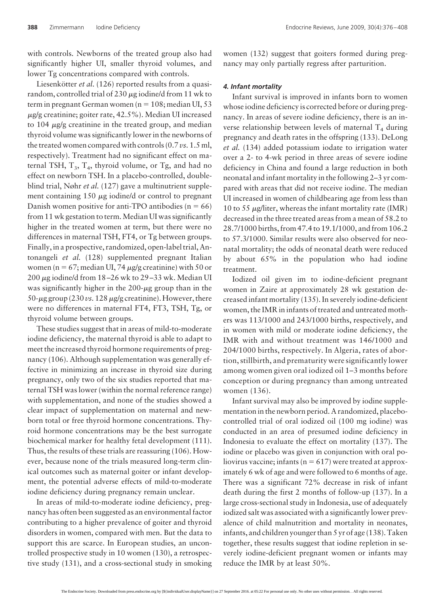with controls. Newborns of the treated group also had significantly higher UI, smaller thyroid volumes, and lower Tg concentrations compared with controls.

Liesenkötter *et al.* (126) reported results from a quasirandom, controlled trial of 230  $\mu$ g iodine/d from 11 wk to term in pregnant German women ( $n = 108$ ; median UI, 53  $\mu$ g/g creatinine; goiter rate, 42.5%). Median UI increased to  $104 \mu g/g$  creatinine in the treated group, and median thyroid volume was significantly lower in the newborns of the treated women compared with controls (0.7 *vs.* 1.5 ml, respectively). Treatment had no significant effect on maternal TSH,  $T_3$ ,  $T_4$ , thyroid volume, or Tg, and had no effect on newborn TSH. In a placebo-controlled, doubleblind trial, Nøhr *et al.* (127) gave a multinutrient supplement containing  $150 \mu g$  iodine/d or control to pregnant Danish women positive for anti-TPO antibodies ( $n = 66$ ) from 11 wk gestation to term. Median UI was significantly higher in the treated women at term, but there were no differences in maternal TSH, FT4, or Tg between groups. Finally, in a prospective, randomized, open-label trial, Antonangeli *et al.* (128) supplemented pregnant Italian women (n = 67; median UI, 74  $\mu$ g/g creatinine) with 50 or 200  $\mu$ g iodine/d from 18-26 wk to 29-33 wk. Median UI was significantly higher in the  $200 - \mu$ g group than in the 50- $\mu$ g group (230 *vs.* 128  $\mu$ g/g creatinine). However, there were no differences in maternal FT4, FT3, TSH, Tg, or thyroid volume between groups.

These studies suggest that in areas of mild-to-moderate iodine deficiency, the maternal thyroid is able to adapt to meet the increased thyroid hormone requirements of pregnancy (106). Although supplementation was generally effective in minimizing an increase in thyroid size during pregnancy, only two of the six studies reported that maternal TSH was lower (within the normal reference range) with supplementation, and none of the studies showed a clear impact of supplementation on maternal and newborn total or free thyroid hormone concentrations. Thyroid hormone concentrations may be the best surrogate biochemical marker for healthy fetal development (111). Thus, the results of these trials are reassuring (106). However, because none of the trials measured long-term clinical outcomes such as maternal goiter or infant development, the potential adverse effects of mild-to-moderate iodine deficiency during pregnancy remain unclear.

In areas of mild-to-moderate iodine deficiency, pregnancy has often been suggested as an environmental factor contributing to a higher prevalence of goiter and thyroid disorders in women, compared with men. But the data to support this are scarce. In European studies, an uncontrolled prospective study in 10 women (130), a retrospective study (131), and a cross-sectional study in smoking women (132) suggest that goiters formed during pregnancy may only partially regress after parturition.

#### *4. Infant mortality*

Infant survival is improved in infants born to women whose iodine deficiency is corrected before or during pregnancy. In areas of severe iodine deficiency, there is an inverse relationship between levels of maternal  $T<sub>4</sub>$  during pregnancy and death rates in the offspring (133). DeLong *et al.* (134) added potassium iodate to irrigation water over a 2- to 4-wk period in three areas of severe iodine deficiency in China and found a large reduction in both neonatal and infant mortality in the following 2–3 yr compared with areas that did not receive iodine. The median UI increased in women of childbearing age from less than 10 to 55  $\mu$ g/liter, whereas the infant mortality rate (IMR) decreased in the three treated areas from a mean of 58.2 to 28.7/1000 births, from 47.4 to 19.1/1000, and from 106.2 to 57.3/1000. Similar results were also observed for neonatal mortality; the odds of neonatal death were reduced by about 65% in the population who had iodine treatment.

Iodized oil given im to iodine-deficient pregnant women in Zaire at approximately 28 wk gestation decreased infant mortality (135). In severely iodine-deficient women, the IMR in infants of treated and untreated mothers was 113/1000 and 243/1000 births, respectively, and in women with mild or moderate iodine deficiency, the IMR with and without treatment was 146/1000 and 204/1000 births, respectively. In Algeria, rates of abortion, stillbirth, and prematurity were significantly lower among women given oral iodized oil 1–3 months before conception or during pregnancy than among untreated women (136).

Infant survival may also be improved by iodine supplementation in the newborn period. A randomized, placebocontrolled trial of oral iodized oil (100 mg iodine) was conducted in an area of presumed iodine deficiency in Indonesia to evaluate the effect on mortality (137). The iodine or placebo was given in conjunction with oral poliovirus vaccine; infants ( $n = 617$ ) were treated at approximately 6 wk of age and were followed to 6 months of age. There was a significant 72% decrease in risk of infant death during the first 2 months of follow-up (137). In a large cross-sectional study in Indonesia, use of adequately iodized salt was associated with a significantly lower prevalence of child malnutrition and mortality in neonates, infants, and children younger than 5 yr of age (138). Taken together, these results suggest that iodine repletion in severely iodine-deficient pregnant women or infants may reduce the IMR by at least 50%.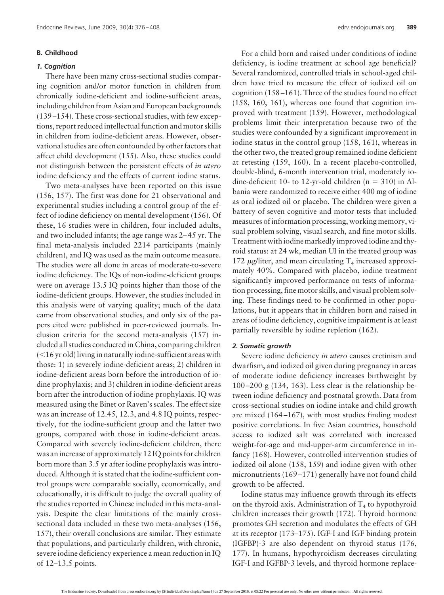# **B. Childhood**

#### *1. Cognition*

There have been many cross-sectional studies comparing cognition and/or motor function in children from chronically iodine-deficient and iodine-sufficient areas, including children from Asian and European backgrounds (139 –154). These cross-sectional studies, with few exceptions, report reduced intellectual function and motor skills in children from iodine-deficient areas. However, observational studies are often confounded by other factors that affect child development (155). Also, these studies could not distinguish between the persistent effects of *in utero* iodine deficiency and the effects of current iodine status.

Two meta-analyses have been reported on this issue (156, 157). The first was done for 21 observational and experimental studies including a control group of the effect of iodine deficiency on mental development (156). Of these, 16 studies were in children, four included adults, and two included infants; the age range was 2– 45 yr. The final meta-analysis included 2214 participants (mainly children), and IQ was used as the main outcome measure. The studies were all done in areas of moderate-to-severe iodine deficiency. The IQs of non-iodine-deficient groups were on average 13.5 IQ points higher than those of the iodine-deficient groups. However, the studies included in this analysis were of varying quality; much of the data came from observational studies, and only six of the papers cited were published in peer-reviewed journals. Inclusion criteria for the second meta-analysis (157) included all studies conducted in China, comparing children  $(<$ 16 yr old) living in naturally iodine-sufficient areas with those: 1) in severely iodine-deficient areas; 2) children in iodine-deficient areas born before the introduction of iodine prophylaxis; and 3) children in iodine-deficient areas born after the introduction of iodine prophylaxis. IQ was measured using the Binet or Raven's scales. The effect size was an increase of 12.45, 12.3, and 4.8 IQ points, respectively, for the iodine-sufficient group and the latter two groups, compared with those in iodine-deficient areas. Compared with severely iodine-deficient children, there was anincrease of approximately 12 IQ points for children born more than 3.5 yr after iodine prophylaxis was introduced. Although it is stated that the iodine-sufficient control groups were comparable socially, economically, and educationally, it is difficult to judge the overall quality of the studies reported in Chinese included in this meta-analysis. Despite the clear limitations of the mainly crosssectional data included in these two meta-analyses (156, 157), their overall conclusions are similar. They estimate that populations, and particularly children, with chronic, severe iodine deficiency experience a mean reduction in IQ of 12–13.5 points.

For a child born and raised under conditions of iodine deficiency, is iodine treatment at school age beneficial? Several randomized, controlled trials in school-aged children have tried to measure the effect of iodized oil on cognition (158 –161). Three of the studies found no effect (158, 160, 161), whereas one found that cognition improved with treatment (159). However, methodological problems limit their interpretation because two of the studies were confounded by a significant improvement in iodine status in the control group (158, 161), whereas in the other two, the treated group remained iodine deficient at retesting (159, 160). In a recent placebo-controlled, double-blind, 6-month intervention trial, moderately iodine-deficient 10- to 12-yr-old children  $(n = 310)$  in Albania were randomized to receive either 400 mg of iodine as oral iodized oil or placebo. The children were given a battery of seven cognitive and motor tests that included measures of information processing, working memory, visual problem solving, visual search, and fine motor skills. Treatment with iodine markedly improved iodine and thyroid status: at 24 wk, median UI in the treated group was 172  $\mu$ g/liter, and mean circulating T<sub>4</sub> increased approximately 40%. Compared with placebo, iodine treatment significantly improved performance on tests of information processing, fine motor skills, and visual problem solving. These findings need to be confirmed in other populations, but it appears that in children born and raised in areas of iodine deficiency, cognitive impairment is at least partially reversible by iodine repletion (162).

# *2. Somatic growth*

Severe iodine deficiency *in utero* causes cretinism and dwarfism, and iodized oil given during pregnancy in areas of moderate iodine deficiency increases birthweight by 100 –200 g (134, 163). Less clear is the relationship between iodine deficiency and postnatal growth. Data from cross-sectional studies on iodine intake and child growth are mixed (164 –167), with most studies finding modest positive correlations. In five Asian countries, household access to iodized salt was correlated with increased weight-for-age and mid-upper-arm circumference in infancy (168). However, controlled intervention studies of iodized oil alone (158, 159) and iodine given with other micronutrients (169–171) generally have not found child growth to be affected.

Iodine status may influence growth through its effects on the thyroid axis. Administration of  $T_4$  to hypothyroid children increases their growth (172). Thyroid hormone promotes GH secretion and modulates the effects of GH at its receptor (173–175). IGF-I and IGF binding protein (IGFBP)-3 are also dependent on thyroid status (176, 177). In humans, hypothyroidism decreases circulating IGF-I and IGFBP-3 levels, and thyroid hormone replace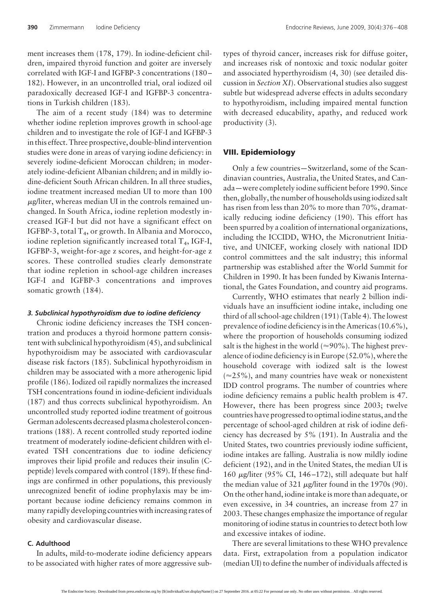ment increases them (178, 179). In iodine-deficient children, impaired thyroid function and goiter are inversely correlated with IGF-I and IGFBP-3 concentrations (180 – 182). However, in an uncontrolled trial, oral iodized oil paradoxically decreased IGF-I and IGFBP-3 concentrations in Turkish children (183).

The aim of a recent study (184) was to determine whether iodine repletion improves growth in school-age children and to investigate the role of IGF-I and IGFBP-3 in this effect. Three prospective, double-blind intervention studies were done in areas of varying iodine deficiency: in severely iodine-deficient Moroccan children; in moderately iodine-deficient Albanian children; and in mildly iodine-deficient South African children. In all three studies, iodine treatment increased median UI to more than 100  $\mu$ g/liter, whereas median UI in the controls remained unchanged. In South Africa, iodine repletion modestly increased IGF-I but did not have a significant effect on IGFBP-3, total  $T_4$ , or growth. In Albania and Morocco, iodine repletion significantly increased total  $T_4$ , IGF-I, IGFBP-3, weight-for-age z scores, and height-for-age z scores. These controlled studies clearly demonstrate that iodine repletion in school-age children increases IGF-I and IGFBP-3 concentrations and improves somatic growth (184).

#### *3. Subclinical hypothyroidism due to iodine deficiency*

Chronic iodine deficiency increases the TSH concentration and produces a thyroid hormone pattern consistent with subclinical hypothyroidism (45), and subclinical hypothyroidism may be associated with cardiovascular disease risk factors (185). Subclinical hypothyroidism in children may be associated with a more atherogenic lipid profile (186). Iodized oil rapidly normalizes the increased TSH concentrations found in iodine-deficient individuals (187) and thus corrects subclinical hypothyroidism. An uncontrolled study reported iodine treatment of goitrous German adolescents decreased plasma cholesterol concentrations (188). A recent controlled study reported iodine treatment of moderately iodine-deficient children with elevated TSH concentrations due to iodine deficiency improves their lipid profile and reduces their insulin (Cpeptide) levels compared with control (189). If these findings are confirmed in other populations, this previously unrecognized benefit of iodine prophylaxis may be important because iodine deficiency remains common in many rapidly developing countries with increasing rates of obesity and cardiovascular disease.

# **C. Adulthood**

In adults, mild-to-moderate iodine deficiency appears to be associated with higher rates of more aggressive subtypes of thyroid cancer, increases risk for diffuse goiter, and increases risk of nontoxic and toxic nodular goiter and associated hyperthyroidism (4, 30) (see detailed discussion in *Section XI*). Observational studies also suggest subtle but widespread adverse effects in adults secondary to hypothyroidism, including impaired mental function with decreased educability, apathy, and reduced work productivity (3).

# **VIII. Epidemiology**

Only a few countries—Switzerland, some of the Scandinavian countries, Australia, the United States, and Canada—were completely iodine sufficient before 1990. Since then, globally, the number of households using iodized salt has risen from less than 20% to more than 70%, dramatically reducing iodine deficiency (190). This effort has been spurred by a coalition of international organizations, including the ICCIDD, WHO, the Micronutrient Initiative, and UNICEF, working closely with national IDD control committees and the salt industry; this informal partnership was established after the World Summit for Children in 1990. It has been funded by Kiwanis International, the Gates Foundation, and country aid programs.

Currently, WHO estimates that nearly 2 billion individuals have an insufficient iodine intake, including one third of all school-age children (191) (Table 4). The lowest prevalence of iodine deficiency is in the Americas (10.6%), where the proportion of households consuming iodized salt is the highest in the world ( $\approx$ 90%). The highest prevalence of iodine deficiency is in Europe (52.0%), where the household coverage with iodized salt is the lowest  $(\approx 25\%)$ , and many countries have weak or nonexistent IDD control programs. The number of countries where iodine deficiency remains a public health problem is 47. However, there has been progress since 2003; twelve countries have progressed to optimal iodine status, and the percentage of school-aged children at risk of iodine deficiency has decreased by 5% (191). In Australia and the United States, two countries previously iodine sufficient, iodine intakes are falling. Australia is now mildly iodine deficient (192), and in the United States, the median UI is 160  $\mu$ g/liter (95% CI, 146–172), still adequate but half the median value of 321  $\mu$ g/liter found in the 1970s (90). On the other hand, iodine intake is more than adequate, or even excessive, in 34 countries, an increase from 27 in 2003. These changes emphasize the importance of regular monitoring of iodine status in countries to detect both low and excessive intakes of iodine.

There are several limitations to these WHO prevalence data. First, extrapolation from a population indicator (median UI) to define the number of individuals affected is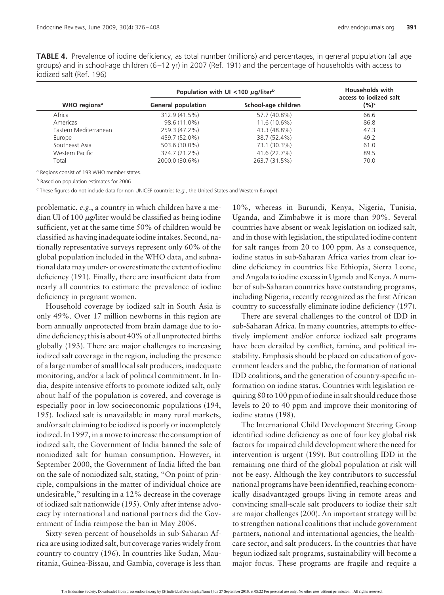**TABLE 4.** Prevalence of iodine deficiency, as total number (millions) and percentages, in general population (all age groups) and in school-age children (6 –12 yr) in 2007 (Ref. 191) and the percentage of households with access to iodized salt (Ref. 196)

|                          | Population with UI <100 $\mu$ g/liter <sup>b</sup> | <b>Households with</b><br>access to jodized salt |          |
|--------------------------|----------------------------------------------------|--------------------------------------------------|----------|
| WHO regions <sup>a</sup> | <b>General population</b>                          | School-age children                              | $(\%)^c$ |
| Africa                   | 312.9 (41.5%)                                      | 57.7 (40.8%)                                     | 66.6     |
| Americas                 | 98.6 (11.0%)                                       | 11.6 (10.6%)                                     | 86.8     |
| Eastern Mediterranean    | 259.3 (47.2%)                                      | 43.3 (48.8%)                                     | 47.3     |
| Europe                   | 459.7 (52.0%)                                      | 38.7 (52.4%)                                     | 49.2     |
| Southeast Asia           | 503.6 (30.0%)                                      | 73.1 (30.3%)                                     | 61.0     |
| Western Pacific          | 374.7 (21.2%)                                      | 41.6 (22.7%)                                     | 89.5     |
| Total                    | 2000.0 (30.6%)                                     | 263.7 (31.5%)                                    | 70.0     |

*<sup>a</sup>* Regions consist of 193 WHO member states.

*<sup>b</sup>* Based on population estimates for 2006.

*<sup>c</sup>* These figures do not include data for non-UNICEF countries (*e.g.*, the United States and Western Europe).

problematic, *e*.*g*., a country in which children have a median UI of 100  $\mu$ g/liter would be classified as being iodine sufficient, yet at the same time 50% of children would be classified as having inadequate iodine intakes. Second, nationally representative surveys represent only 60% of the global population included in the WHO data, and subnational data may under- or overestimate the extent of iodine deficiency (191). Finally, there are insufficient data from nearly all countries to estimate the prevalence of iodine deficiency in pregnant women.

Household coverage by iodized salt in South Asia is only 49%. Over 17 million newborns in this region are born annually unprotected from brain damage due to iodine deficiency; this is about 40% of all unprotected births globally (193). There are major challenges to increasing iodized salt coverage in the region, including the presence of a large number of small local salt producers, inadequate monitoring, and/or a lack of political commitment. In India, despite intensive efforts to promote iodized salt, only about half of the population is covered, and coverage is especially poor in low socioeconomic populations (194, 195). Iodized salt is unavailable in many rural markets, and/or salt claiming to be iodized is poorly or incompletely iodized. In 1997, in a move to increase the consumption of iodized salt, the Government of India banned the sale of noniodized salt for human consumption. However, in September 2000, the Government of India lifted the ban on the sale of noniodized salt, stating, "On point of principle, compulsions in the matter of individual choice are undesirable," resulting in a 12% decrease in the coverage of iodized salt nationwide (195). Only after intense advocacy by international and national partners did the Government of India reimpose the ban in May 2006.

Sixty-seven percent of households in sub-Saharan Africa are using iodized salt, but coverage varies widely from country to country (196). In countries like Sudan, Mauritania, Guinea-Bissau, and Gambia, coverage is less than

10%, whereas in Burundi, Kenya, Nigeria, Tunisia, Uganda, and Zimbabwe it is more than 90%. Several countries have absent or weak legislation on iodized salt, and in those with legislation, the stipulated iodine content for salt ranges from 20 to 100 ppm. As a consequence, iodine status in sub-Saharan Africa varies from clear iodine deficiency in countries like Ethiopia, Sierra Leone, and Angola to iodine excess in Uganda and Kenya. A number of sub-Saharan countries have outstanding programs, including Nigeria, recently recognized as the first African country to successfully eliminate iodine deficiency (197).

There are several challenges to the control of IDD in sub-Saharan Africa. In many countries, attempts to effectively implement and/or enforce iodized salt programs have been derailed by conflict, famine, and political instability. Emphasis should be placed on education of government leaders and the public, the formation of national IDD coalitions, and the generation of country-specific information on iodine status. Countries with legislation requiring 80 to 100 ppm of iodine in salt should reduce those levels to 20 to 40 ppm and improve their monitoring of iodine status (198).

The International Child Development Steering Group identified iodine deficiency as one of four key global risk factors for impaired child development where the need for intervention is urgent (199). But controlling IDD in the remaining one third of the global population at risk will not be easy. Although the key contributors to successful national programs have been identified, reaching economically disadvantaged groups living in remote areas and convincing small-scale salt producers to iodize their salt are major challenges (200). An important strategy will be to strengthen national coalitions that include government partners, national and international agencies, the healthcare sector, and salt producers. In the countries that have begun iodized salt programs, sustainability will become a major focus. These programs are fragile and require a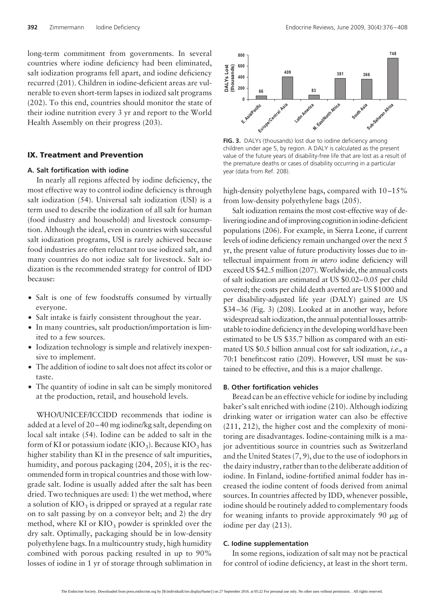long-term commitment from governments. In several countries where iodine deficiency had been eliminated, salt iodization programs fell apart, and iodine deficiency recurred (201). Children in iodine-deficient areas are vulnerable to even short-term lapses in iodized salt programs (202). To this end, countries should monitor the state of their iodine nutrition every 3 yr and report to the World Health Assembly on their progress (203).

# **IX. Treatment and Prevention**

#### **A. Salt fortification with iodine**

In nearly all regions affected by iodine deficiency, the most effective way to control iodine deficiency is through salt iodization (54). Universal salt iodization (USI) is a term used to describe the iodization of all salt for human (food industry and household) and livestock consumption. Although the ideal, even in countries with successful salt iodization programs, USI is rarely achieved because food industries are often reluctant to use iodized salt, and many countries do not iodize salt for livestock. Salt iodization is the recommended strategy for control of IDD because:

- Salt is one of few foodstuffs consumed by virtually everyone.
- Salt intake is fairly consistent throughout the year.
- In many countries, salt production/importation is limited to a few sources.
- Iodization technology is simple and relatively inexpensive to implement.
- The addition of iodine to salt does not affect its color or taste.
- The quantity of iodine in salt can be simply monitored at the production, retail, and household levels.

WHO/UNICEF/ICCIDD recommends that iodine is added at a level of 20 – 40 mg iodine/kg salt, depending on local salt intake (54). Iodine can be added to salt in the form of KI or potassium iodate ( $KIO_3$ ). Because  $KIO_3$  has higher stability than KI in the presence of salt impurities, humidity, and porous packaging (204, 205), it is the recommended form in tropical countries and those with lowgrade salt. Iodine is usually added after the salt has been dried. Two techniques are used: 1) the wet method, where a solution of  $KIO<sub>3</sub>$  is dripped or sprayed at a regular rate on to salt passing by on a conveyor belt; and 2) the dry method, where KI or  $KIO<sub>3</sub>$  powder is sprinkled over the dry salt. Optimally, packaging should be in low-density polyethylene bags. In a multicountry study, high humidity combined with porous packing resulted in up to 90% losses of iodine in 1 yr of storage through sublimation in



**FIG. 3.** DALYs (thousands) lost due to iodine deficiency among children under age 5, by region. A DALY is calculated as the present value of the future years of disability-free life that are lost as a result of the premature deaths or cases of disability occurring in a particular year (data from Ref. 208).

high-density polyethylene bags, compared with  $10-15%$ from low-density polyethylene bags (205).

Salt iodization remains the most cost-effective way of delivering iodine and of improving cognition in iodine-deficient populations (206). For example, in Sierra Leone, if current levels of iodine deficiency remain unchanged over the next 5 yr, the present value of future productivity losses due to intellectual impairment from *in utero* iodine deficiency will exceed US \$42.5 million (207).Worldwide, the annual costs of salt iodization are estimated at US \$0.02–0.05 per child covered; the costs per child death averted are US \$1000 and per disability-adjusted life year (DALY) gained are US \$34 –36 (Fig. 3) (208). Looked at in another way, before widespread salt iodization, the annual potential losses attributable to iodine deficiency in the developing world have been estimated to be US \$35.7 billion as compared with an estimated US \$0.5 billion annual cost for salt iodization, *i*.*e*., a 70:1 benefit:cost ratio (209). However, USI must be sustained to be effective, and this is a major challenge.

#### **B. Other fortification vehicles**

Bread can be an effective vehicle for iodine by including baker's salt enriched with iodine (210). Although iodizing drinking water or irrigation water can also be effective (211, 212), the higher cost and the complexity of monitoring are disadvantages. Iodine-containing milk is a major adventitious source in countries such as Switzerland and the United States (7, 9), due to the use of iodophors in the dairy industry, rather than to the deliberate addition of iodine. In Finland, iodine-fortified animal fodder has increased the iodine content of foods derived from animal sources. In countries affected by IDD, whenever possible, iodine should be routinely added to complementary foods for weaning infants to provide approximately 90  $\mu$ g of iodine per day (213).

### **C. Iodine supplementation**

In some regions, iodization of salt may not be practical for control of iodine deficiency, at least in the short term.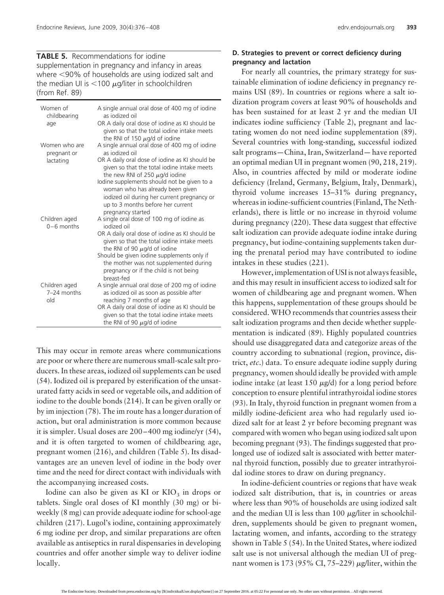# **TABLE 5.** Recommendations for iodine supplementation in pregnancy and infancy in areas where 90% of households are using iodized salt and the median UI is  $<$  100  $\mu$ g/liter in schoolchildren (from Ref. 89)

| Women of<br>childbearing<br>age           | A single annual oral dose of 400 mg of iodine<br>lio besiboi as<br>OR A daily oral dose of iodine as KI should be<br>given so that the total iodine intake meets<br>the RNI of 150 $\mu$ g/d of iodine                                                                                                                                                                                              |
|-------------------------------------------|-----------------------------------------------------------------------------------------------------------------------------------------------------------------------------------------------------------------------------------------------------------------------------------------------------------------------------------------------------------------------------------------------------|
| Women who are<br>pregnant or<br>lactating | A single annual oral dose of 400 mg of iodine<br>lio besiboi as<br>OR A daily oral dose of iodine as KI should be<br>given so that the total iodine intake meets<br>the new RNI of 250 $\mu$ g/d iodine<br>lodine supplements should not be given to a<br>woman who has already been given<br>iodized oil during her current pregnancy or<br>up to 3 months before her current<br>pregnancy started |
| Children aged<br>$0 - 6$ months           | A single oral dose of 100 mg of iodine as<br>lio hesiboi<br>OR A daily oral dose of iodine as KI should be<br>given so that the total iodine intake meets<br>the RNI of 90 $\mu$ g/d of iodine<br>Should be given iodine supplements only if<br>the mother was not supplemented during<br>pregnancy or if the child is not being<br>breast-fed                                                      |
| Children aged<br>7-24 months<br>old       | A single annual oral dose of 200 mg of iodine<br>as iodized oil as soon as possible after<br>reaching 7 months of age<br>OR A daily oral dose of iodine as KI should be<br>given so that the total iodine intake meets<br>the RNI of 90 $\mu$ g/d of iodine                                                                                                                                         |

This may occur in remote areas where communications are poor or where there are numerous small-scale salt producers. In these areas, iodized oil supplements can be used (54). Iodized oil is prepared by esterification of the unsaturated fatty acids in seed or vegetable oils, and addition of iodine to the double bonds (214). It can be given orally or by im injection (78). The im route has a longer duration of action, but oral administration is more common because it is simpler. Usual doses are  $200 - 400$  mg iodine/yr  $(54)$ , and it is often targeted to women of childbearing age, pregnant women (216), and children (Table 5). Its disadvantages are an uneven level of iodine in the body over time and the need for direct contact with individuals with the accompanying increased costs.

Iodine can also be given as  $KI$  or  $KIO_3$  in drops or tablets. Single oral doses of KI monthly (30 mg) or biweekly (8 mg) can provide adequate iodine for school-age children (217). Lugol's iodine, containing approximately 6 mg iodine per drop, and similar preparations are often available as antiseptics in rural dispensaries in developing countries and offer another simple way to deliver iodine locally.

# **D. Strategies to prevent or correct deficiency during pregnancy and lactation**

For nearly all countries, the primary strategy for sustainable elimination of iodine deficiency in pregnancy remains USI (89). In countries or regions where a salt iodization program covers at least 90% of households and has been sustained for at least 2 yr and the median UI indicates iodine sufficiency (Table 2), pregnant and lactating women do not need iodine supplementation (89). Several countries with long-standing, successful iodized salt programs—China, Iran, Switzerland— have reported an optimal median UI in pregnant women (90, 218, 219). Also, in countries affected by mild or moderate iodine deficiency (Ireland, Germany, Belgium, Italy, Denmark), thyroid volume increases 15–31% during pregnancy, whereas in iodine-sufficient countries (Finland, The Netherlands), there is little or no increase in thyroid volume during pregnancy (220). These data suggest that effective salt iodization can provide adequate iodine intake during pregnancy, but iodine-containing supplements taken during the prenatal period may have contributed to iodine intakes in these studies (221).

However, implementation of USI is not always feasible, and this may result in insufficient access to iodized salt for women of childbearing age and pregnant women. When this happens, supplementation of these groups should be considered. WHO recommends that countries assess their salt iodization programs and then decide whether supplementation is indicated (89). Highly populated countries should use disaggregated data and categorize areas of the country according to subnational (region, province, district, *etc*.) data. To ensure adequate iodine supply during pregnancy, women should ideally be provided with ample iodine intake (at least 150  $\mu$ g/d) for a long period before conception to ensure plentiful intrathyroidal iodine stores (93). In Italy, thyroid function in pregnant women from a mildly iodine-deficient area who had regularly used iodized salt for at least 2 yr before becoming pregnant was compared with women who began using iodized salt upon becoming pregnant (93). The findings suggested that prolonged use of iodized salt is associated with better maternal thyroid function, possibly due to greater intrathyroidal iodine stores to draw on during pregnancy.

In iodine-deficient countries or regions that have weak iodized salt distribution, that is, in countries or areas where less than 90% of households are using iodized salt and the median UI is less than  $100 \mu g/l$  iter in schoolchildren, supplements should be given to pregnant women, lactating women, and infants, according to the strategy shown in Table 5 (54). In the United States, where iodized salt use is not universal although the median UI of pregnant women is 173 (95% CI, 75–229)  $\mu$ g/liter, within the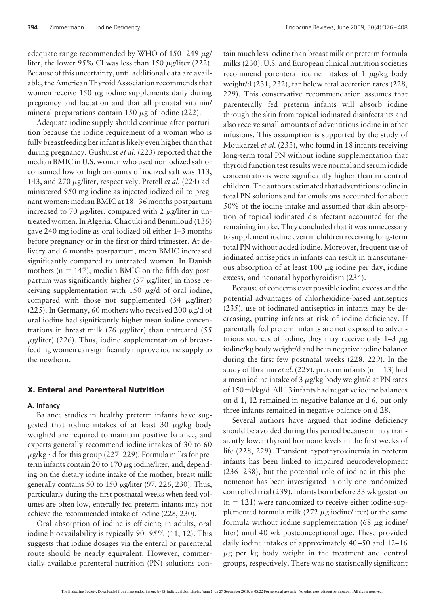adequate range recommended by WHO of  $150-249 \mu g$ / liter, the lower 95% CI was less than 150  $\mu$ g/liter (222). Because of this uncertainty, until additional data are available, the American Thyroid Association recommends that women receive  $150 \mu g$  iodine supplements daily during pregnancy and lactation and that all prenatal vitamin/ mineral preparations contain 150  $\mu$ g of iodine (222).

Adequate iodine supply should continue after parturition because the iodine requirement of a woman who is fully breastfeeding her infant is likely even higher than that during pregnancy. Gushurst *et al.* (223) reported that the median BMIC in U.S. women who used noniodized salt or consumed low or high amounts of iodized salt was 113, 143, and 270  $\mu$ g/liter, respectively. Pretell *et al.* (224) administered 950 mg iodine as injected iodized oil to pregnant women; median BMIC at 18 –36 months postpartum increased to 70  $\mu$ g/liter, compared with 2  $\mu$ g/liter in untreated women. In Algeria, Chaouki and Benmiloud (136) gave 240 mg iodine as oral iodized oil either 1–3 months before pregnancy or in the first or third trimester. At delivery and 6 months postpartum, mean BMIC increased significantly compared to untreated women. In Danish mothers ( $n = 147$ ), median BMIC on the fifth day postpartum was significantly higher  $(57 \mu g/l$ iter) in those receiving supplementation with 150  $\mu$ g/d of oral iodine, compared with those not supplemented  $(34 \mu g/liter)$ (225). In Germany, 60 mothers who received 200  $\mu$ g/d of oral iodine had significantly higher mean iodine concentrations in breast milk (76  $\mu$ g/liter) than untreated (55  $\mu$ g/liter) (226). Thus, iodine supplementation of breastfeeding women can significantly improve iodine supply to the newborn.

# **X. Enteral and Parenteral Nutrition**

# **A. Infancy**

Balance studies in healthy preterm infants have suggested that iodine intakes of at least  $30 \mu g/kg$  body weight/d are required to maintain positive balance, and experts generally recommend iodine intakes of 30 to 60  $\mu$ g/kg · d for this group (227–229). Formula milks for preterm infants contain 20 to 170  $\mu$ g iodine/liter, and, depending on the dietary iodine intake of the mother, breast milk generally contains 50 to 150  $\mu$ g/liter (97, 226, 230). Thus, particularly during the first postnatal weeks when feed volumes are often low, enterally fed preterm infants may not achieve the recommended intake of iodine (228, 230).

Oral absorption of iodine is efficient; in adults, oral iodine bioavailability is typically 90 –95% (11, 12). This suggests that iodine dosages via the enteral or parenteral route should be nearly equivalent. However, commercially available parenteral nutrition (PN) solutions contain much less iodine than breast milk or preterm formula milks (230). U.S. and European clinical nutrition societies recommend parenteral iodine intakes of 1  $\mu$ g/kg body weight/d (231, 232), far below fetal accretion rates (228, 229). This conservative recommendation assumes that parenterally fed preterm infants will absorb iodine through the skin from topical iodinated disinfectants and also receive small amounts of adventitious iodine in other infusions. This assumption is supported by the study of Moukarzel *et al.* (233), who found in 18 infants receiving long-term total PN without iodine supplementation that thyroid function test results were normal and serum iodide concentrations were significantly higher than in control children. The authors estimated that adventitiousiodinein total PN solutions and fat emulsions accounted for about 50% of the iodine intake and assumed that skin absorption of topical iodinated disinfectant accounted for the remaining intake. They concluded that it was unnecessary to supplement iodine even in children receiving long-term total PN without added iodine. Moreover, frequent use of iodinated antiseptics in infants can result in transcutaneous absorption of at least 100  $\mu$ g iodine per day, iodine excess, and neonatal hypothyroidism (234).

Because of concerns over possible iodine excess and the potential advantages of chlorhexidine-based antiseptics (235), use of iodinated antiseptics in infants may be decreasing, putting infants at risk of iodine deficiency. If parentally fed preterm infants are not exposed to adventitious sources of iodine, they may receive only  $1-3 \mu g$ iodine/kg body weight/d and be in negative iodine balance during the first few postnatal weeks (228, 229). In the study of Ibrahim *et al.* (229), preterm infants ( $n = 13$ ) had a mean iodine intake of  $3 \mu g/kg$  body weight/d at PN rates of 150 ml/kg/d. All 13 infants had negative iodine balances on d 1, 12 remained in negative balance at d 6, but only three infants remained in negative balance on d 28.

Several authors have argued that iodine deficiency should be avoided during this period because it may transiently lower thyroid hormone levels in the first weeks of life (228, 229). Transient hypothyroxinemia in preterm infants has been linked to impaired neurodevelopment (236 –238), but the potential role of iodine in this phenomenon has been investigated in only one randomized controlled trial (239). Infants born before 33 wk gestation  $(n = 121)$  were randomized to receive either iodine-supplemented formula milk  $(272 \mu g)$  iodine/liter) or the same formula without iodine supplementation  $(68 \mu g)$  iodine/ liter) until 40 wk postconceptional age. These provided daily iodine intakes of approximately 40 –50 and 12–16  $\mu$ g per kg body weight in the treatment and control groups, respectively. There was no statistically significant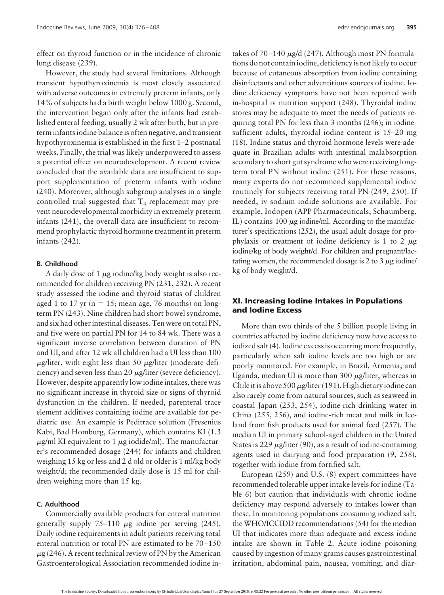effect on thyroid function or in the incidence of chronic lung disease (239).

However, the study had several limitations. Although transient hypothyroxinemia is most closely associated with adverse outcomes in extremely preterm infants, only 14% of subjects had a birth weight below 1000 g. Second, the intervention began only after the infants had established enteral feeding, usually 2 wk after birth, but in preterm infants iodine balance is often negative, and transient hypothyroxinemia is established in the first 1–2 postnatal weeks. Finally, the trial was likely underpowered to assess a potential effect on neurodevelopment. A recent review concluded that the available data are insufficient to support supplementation of preterm infants with iodine (240). Moreover, although subgroup analyses in a single controlled trial suggested that  $T<sub>4</sub>$  replacement may prevent neurodevelopmental morbidity in extremely preterm infants (241), the overall data are insufficient to recommend prophylactic thyroid hormone treatment in preterm infants (242).

### **B. Childhood**

A daily dose of 1  $\mu$ g iodine/kg body weight is also recommended for children receiving PN (231, 232). A recent study assessed the iodine and thyroid status of children aged 1 to 17 yr ( $n = 15$ ; mean age, 76 months) on longterm PN (243). Nine children had short bowel syndrome, and six had other intestinal diseases. Ten were on total PN, and five were on partial PN for 14 to 84 wk. There was a significant inverse correlation between duration of PN and UI, and after 12 wk all children had a UI less than 100  $\mu$ g/liter, with eight less than 50  $\mu$ g/liter (moderate deficiency) and seven less than 20  $\mu$ g/liter (severe deficiency). However, despite apparently low iodine intakes, there was no significant increase in thyroid size or signs of thyroid dysfunction in the children. If needed, parenteral trace element additives containing iodine are available for pediatric use. An example is Peditrace solution (Fresenius Kabi, Bad Homburg, Germany), which contains KI (1.3  $\mu$ g/ml KI equivalent to 1  $\mu$ g iodide/ml). The manufacturer's recommended dosage (244) for infants and children weighing 15 kg or less and 2 d old or older is 1 ml/kg body weight/d; the recommended daily dose is 15 ml for children weighing more than 15 kg.

# **C. Adulthood**

Commercially available products for enteral nutrition generally supply 75–110  $\mu$ g iodine per serving (245). Daily iodine requirements in adult patients receiving total enteral nutrition or total PN are estimated to be 70–150  $\mu$ g (246). A recent technical review of PN by the American Gastroenterological Association recommended iodine in-

takes of  $70-140 \mu g/d$  (247). Although most PN formulations do not contain iodine, deficiency is not likely to occur because of cutaneous absorption from iodine containing disinfectants and other adventitious sources of iodine. Iodine deficiency symptoms have not been reported with in-hospital iv nutrition support (248). Thyroidal iodine stores may be adequate to meet the needs of patients requiring total PN for less than 3 months (246); in iodinesufficient adults, thyroidal iodine content is 15–20 mg (18). Iodine status and thyroid hormone levels were adequate in Brazilian adults with intestinal malabsorption secondary to short gut syndrome who were receiving longterm total PN without iodine (251). For these reasons, many experts do not recommend supplemental iodine routinely for subjects receiving total PN (249, 250). If needed, iv sodium iodide solutions are available. For example, Iodopen (APP Pharmaceuticals, Schaumberg, IL) contains 100  $\mu$ g iodine/ml. According to the manufacturer's specifications (252), the usual adult dosage for prophylaxis or treatment of iodine deficiency is 1 to 2  $\mu$ g iodine/kg of body weight/d. For children and pregnant/lactating women, the recommended dosage is 2 to 3  $\mu$ g iodine/ kg of body weight/d.

# **XI. Increasing Iodine Intakes in Populations and Iodine Excess**

More than two thirds of the 5 billion people living in countries affected by iodine deficiency now have access to iodized salt (4). Iodine excess is occurring more frequently, particularly when salt iodine levels are too high or are poorly monitored. For example, in Brazil, Armenia, and Uganda, median UI is more than  $300 \mu g/l$  iter, whereas in Chile it is above 500  $\mu$ g/liter (191). High dietary iodine can also rarely come from natural sources, such as seaweed in coastal Japan (253, 254), iodine-rich drinking water in China (255, 256), and iodine-rich meat and milk in Iceland from fish products used for animal feed (257). The median UI in primary school-aged children in the United States is 229  $\mu$ g/liter (90), as a result of iodine-containing agents used in dairying and food preparation (9, 258), together with iodine from fortified salt.

European (259) and U.S. (8) expert committees have recommended tolerable upper intake levels for iodine (Table 6) but caution that individuals with chronic iodine deficiency may respond adversely to intakes lower than these. In monitoring populations consuming iodized salt, the WHO/ICCIDD recommendations (54) for the median UI that indicates more than adequate and excess iodine intake are shown in Table 2. Acute iodine poisoning caused by ingestion of many grams causes gastrointestinal irritation, abdominal pain, nausea, vomiting, and diar-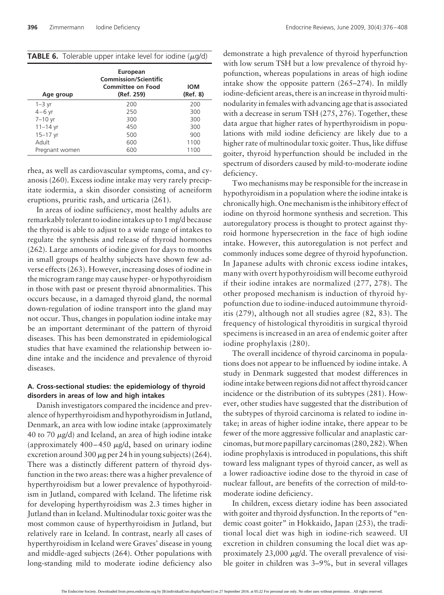# **TABLE 6.** Tolerable upper intake level for iodine  $(\mu q/d)$

| Age group      | <b>European</b><br><b>Commission/Scientific</b><br><b>Committee on Food</b><br>(Ref. 259) | <b>IOM</b><br>(Ref. 8) |
|----------------|-------------------------------------------------------------------------------------------|------------------------|
| $1 - 3$ yr     | 200                                                                                       | 200                    |
| $4-6$ yr       | 250                                                                                       | 300                    |
| $7-10$ yr      | 300                                                                                       | 300                    |
| $11 - 14$ yr   | 450                                                                                       | 300                    |
| $15 - 17$ yr   | 500                                                                                       | 900                    |
| Adult          | 600                                                                                       | 1100                   |
| Pregnant women | 600                                                                                       | 1100                   |

rhea, as well as cardiovascular symptoms, coma, and cyanosis (260). Excess iodine intake may very rarely precipitate iodermia, a skin disorder consisting of acneiform eruptions, pruritic rash, and urticaria (261).

In areas of iodine sufficiency, most healthy adults are remarkably tolerant to iodine intakes up to 1 mg/d because the thyroid is able to adjust to a wide range of intakes to regulate the synthesis and release of thyroid hormones (262). Large amounts of iodine given for days to months in small groups of healthy subjects have shown few adverse effects (263). However, increasing doses of iodine in the microgram range may cause hyper- or hypothyroidism in those with past or present thyroid abnormalities. This occurs because, in a damaged thyroid gland, the normal down-regulation of iodine transport into the gland may not occur. Thus, changes in population iodine intake may be an important determinant of the pattern of thyroid diseases. This has been demonstrated in epidemiological studies that have examined the relationship between iodine intake and the incidence and prevalence of thyroid diseases.

# **A. Cross-sectional studies: the epidemiology of thyroid disorders in areas of low and high intakes**

Danish investigators compared the incidence and prevalence of hyperthyroidism and hypothyroidism in Jutland, Denmark, an area with low iodine intake (approximately 40 to 70  $\mu$ g/d) and Iceland, an area of high iodine intake (approximately  $400 - 450 \mu g/d$ , based on urinary iodine excretion around 300  $\mu$ g per 24 h in young subjects) (264). There was a distinctly different pattern of thyroid dysfunction in the two areas: there was a higher prevalence of hyperthyroidism but a lower prevalence of hypothyroidism in Jutland, compared with Iceland. The lifetime risk for developing hyperthyroidism was 2.3 times higher in Jutland than in Iceland. Multinodular toxic goiter was the most common cause of hyperthyroidism in Jutland, but relatively rare in Iceland. In contrast, nearly all cases of hyperthyroidism in Iceland were Graves' disease in young and middle-aged subjects (264). Other populations with long-standing mild to moderate iodine deficiency also

demonstrate a high prevalence of thyroid hyperfunction with low serum TSH but a low prevalence of thyroid hypofunction, whereas populations in areas of high iodine intake show the opposite pattern (265–274). In mildly iodine-deficient areas, there is an increase in thyroid multinodularity in females with advancing age that is associated with a decrease in serum TSH (275, 276). Together, these data argue that higher rates of hyperthyroidism in populations with mild iodine deficiency are likely due to a higher rate of multinodular toxic goiter. Thus, like diffuse goiter, thyroid hyperfunction should be included in the spectrum of disorders caused by mild-to-moderate iodine deficiency.

Two mechanisms may be responsible for the increase in hypothyroidism in a population where the iodine intake is chronically high. One mechanism is the inhibitory effect of iodine on thyroid hormone synthesis and secretion. This autoregulatory process is thought to protect against thyroid hormone hypersecretion in the face of high iodine intake. However, this autoregulation is not perfect and commonly induces some degree of thyroid hypofunction. In Japanese adults with chronic excess iodine intakes, many with overt hypothyroidism will become euthyroid if their iodine intakes are normalized (277, 278). The other proposed mechanism is induction of thyroid hypofunction due to iodine-induced autoimmune thyroiditis (279), although not all studies agree (82, 83). The frequency of histological thyroiditis in surgical thyroid specimens is increased in an area of endemic goiter after iodine prophylaxis (280).

The overall incidence of thyroid carcinoma in populations does not appear to be influenced by iodine intake. A study in Denmark suggested that modest differences in iodine intake between regions did not affect thyroid cancer incidence or the distribution of its subtypes (281). However, other studies have suggested that the distribution of the subtypes of thyroid carcinoma is related to iodine intake; in areas of higher iodine intake, there appear to be fewer of the more aggressive follicular and anaplastic carcinomas, but more papillary carcinomas (280, 282).When iodine prophylaxis is introduced in populations, this shift toward less malignant types of thyroid cancer, as well as a lower radioactive iodine dose to the thyroid in case of nuclear fallout, are benefits of the correction of mild-tomoderate iodine deficiency.

In children, excess dietary iodine has been associated with goiter and thyroid dysfunction. In the reports of "endemic coast goiter" in Hokkaido, Japan (253), the traditional local diet was high in iodine-rich seaweed. UI excretion in children consuming the local diet was approximately  $23,000 \mu g/d$ . The overall prevalence of visible goiter in children was 3–9%, but in several villages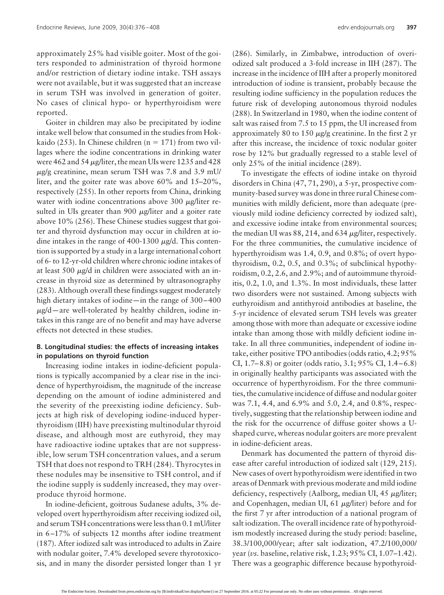approximately 25% had visible goiter. Most of the goiters responded to administration of thyroid hormone and/or restriction of dietary iodine intake. TSH assays were not available, but it was suggested that an increase in serum TSH was involved in generation of goiter. No cases of clinical hypo- or hyperthyroidism were reported.

Goiter in children may also be precipitated by iodine intake well below that consumed in the studies from Hokkaido (253). In Chinese children ( $n = 171$ ) from two villages where the iodine concentrations in drinking water were 462 and 54  $\mu$ g/liter, the mean UIs were 1235 and 428  $\mu$ g/g creatinine, mean serum TSH was 7.8 and 3.9 mU/ liter, and the goiter rate was above 60% and 15–20%, respectively (255). In other reports from China, drinking water with iodine concentrations above  $300 \mu g/l$ liter resulted in UIs greater than  $900 \mu g/l$  iter and a goiter rate above 10% (256). These Chinese studies suggest that goiter and thyroid dysfunction may occur in children at iodine intakes in the range of 400-1300  $\mu$ g/d. This contention is supported by a study in a large international cohort of 6- to 12-yr-old children where chronic iodine intakes of at least 500  $\mu$ g/d in children were associated with an increase in thyroid size as determined by ultrasonography (283). Although overall these findings suggest moderately high dietary intakes of iodine—in the range of 300–400  $\mu$ g/d—are well-tolerated by healthy children, iodine intakes in this range are of no benefit and may have adverse effects not detected in these studies.

# **B. Longitudinal studies: the effects of increasing intakes in populations on thyroid function**

Increasing iodine intakes in iodine-deficient populations is typically accompanied by a clear rise in the incidence of hyperthyroidism, the magnitude of the increase depending on the amount of iodine administered and the severity of the preexisting iodine deficiency. Subjects at high risk of developing iodine-induced hyperthyroidism (IIH) have preexisting multinodular thyroid disease, and although most are euthyroid, they may have radioactive iodine uptakes that are not suppressible, low serum TSH concentration values, and a serum TSH that does not respond to TRH (284). Thyrocytes in these nodules may be insensitive to TSH control, and if the iodine supply is suddenly increased, they may overproduce thyroid hormone.

In iodine-deficient, goitrous Sudanese adults, 3% developed overt hyperthyroidism after receiving iodized oil, and serum TSH concentrations were less than 0.1 mU/liter in 6 –17% of subjects 12 months after iodine treatment (187). After iodized salt was introduced to adults in Zaire with nodular goiter, 7.4% developed severe thyrotoxicosis, and in many the disorder persisted longer than 1 yr

(286). Similarly, in Zimbabwe, introduction of overiodized salt produced a 3-fold increase in IIH (287). The increase in the incidence of IIH after a properly monitored introduction of iodine is transient, probably because the resulting iodine sufficiency in the population reduces the future risk of developing autonomous thyroid nodules (288). In Switzerland in 1980, when the iodine content of salt was raised from 7.5 to 15 ppm, the UI increased from approximately 80 to 150  $\mu$ g/g creatinine. In the first 2 yr after this increase, the incidence of toxic nodular goiter rose by 12% but gradually regressed to a stable level of only 25% of the initial incidence (289).

To investigate the effects of iodine intake on thyroid disorders in China (47, 71, 290), a 5-yr, prospective community-based survey was done in three rural Chinese communities with mildly deficient, more than adequate (previously mild iodine deficiency corrected by iodized salt), and excessive iodine intake from environmental sources; the median UI was  $88$ , 214, and  $634 \mu$ g/liter, respectively. For the three communities, the cumulative incidence of hyperthyroidism was 1.4, 0.9, and 0.8%; of overt hypothyroidism, 0.2, 0.5, and 0.3%; of subclinical hypothyroidism, 0.2, 2.6, and 2.9%; and of autoimmune thyroiditis, 0.2, 1.0, and 1.3%. In most individuals, these latter two disorders were not sustained. Among subjects with euthyroidism and antithyroid antibodies at baseline, the 5-yr incidence of elevated serum TSH levels was greater among those with more than adequate or excessive iodine intake than among those with mildly deficient iodine intake. In all three communities, independent of iodine intake, either positive TPO antibodies (odds ratio, 4.2; 95% CI, 1.7– 8.8) or goiter (odds ratio, 3.1; 95% CI, 1.4 – 6.8) in originally healthy participants was associated with the occurrence of hyperthyroidism. For the three communities, the cumulative incidence of diffuse and nodular goiter was 7.1, 4.4, and 6.9% and 5.0, 2.4, and 0.8%, respectively, suggesting that the relationship between iodine and the risk for the occurrence of diffuse goiter shows a Ushaped curve, whereas nodular goiters are more prevalent in iodine-deficient areas.

Denmark has documented the pattern of thyroid disease after careful introduction of iodized salt (129, 215). New cases of overt hypothyroidism were identified in two areas of Denmark with previous moderate and mild iodine deficiency, respectively (Aalborg, median UI,  $45 \mu g/l$ liter; and Copenhagen, median UI,  $61 \mu g/l$ iter) before and for the first 7 yr after introduction of a national program of salt iodization. The overall incidence rate of hypothyroidism modestly increased during the study period: baseline, 38.3/100,000/year; after salt iodization, 47.2/100,000/ year (*vs.* baseline, relative risk, 1.23; 95% CI, 1.07–1.42). There was a geographic difference because hypothyroid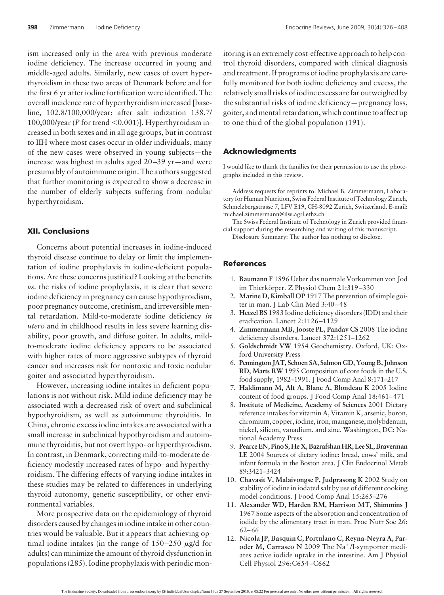ism increased only in the area with previous moderate iodine deficiency. The increase occurred in young and middle-aged adults. Similarly, new cases of overt hyperthyroidism in these two areas of Denmark before and for the first 6 yr after iodine fortification were identified. The overall incidence rate of hyperthyroidism increased [baseline, 102.8/100,000/year; after salt iodization 138.7/ 100,000/year ( $P$  for trend  $\leq 0.001$ )]. Hyperthyroidism increased in both sexes and in all age groups, but in contrast to IIH where most cases occur in older individuals, many of the new cases were observed in young subjects—the increase was highest in adults aged 20 –39 yr—and were presumably of autoimmune origin. The authors suggested that further monitoring is expected to show a decrease in the number of elderly subjects suffering from nodular hyperthyroidism.

# **XII. Conclusions**

Concerns about potential increases in iodine-induced thyroid disease continue to delay or limit the implementation of iodine prophylaxis in iodine-deficient populations. Are these concerns justified? Looking at the benefits *vs.* the risks of iodine prophylaxis, it is clear that severe iodine deficiency in pregnancy can cause hypothyroidism, poor pregnancy outcome, cretinism, and irreversible mental retardation. Mild-to-moderate iodine deficiency *in utero* and in childhood results in less severe learning disability, poor growth, and diffuse goiter. In adults, mildto-moderate iodine deficiency appears to be associated with higher rates of more aggressive subtypes of thyroid cancer and increases risk for nontoxic and toxic nodular goiter and associated hyperthyroidism.

However, increasing iodine intakes in deficient populations is not without risk. Mild iodine deficiency may be associated with a decreased risk of overt and subclinical hypothyroidism, as well as autoimmune thyroiditis. In China, chronic excess iodine intakes are associated with a small increase in subclinical hypothyroidism and autoimmune thyroiditis, but not overt hypo- or hyperthyroidism. In contrast, in Denmark, correcting mild-to-moderate deficiency modestly increased rates of hypo- and hyperthyroidism. The differing effects of varying iodine intakes in these studies may be related to differences in underlying thyroid autonomy, genetic susceptibility, or other environmental variables.

More prospective data on the epidemiology of thyroid disorders caused by changes in iodine intake in other countries would be valuable. But it appears that achieving optimal iodine intakes (in the range of  $150-250 \mu g/d$  for adults) can minimize the amount of thyroid dysfunction in populations (285). Iodine prophylaxis with periodic monitoring is an extremely cost-effective approach to help control thyroid disorders, compared with clinical diagnosis and treatment. If programs of iodine prophylaxis are carefully monitored for both iodine deficiency and excess, the relatively small risks ofiodine excess are far outweighed by the substantial risks of iodine deficiency—pregnancy loss, goiter, and mental retardation, which continue to affect up to one third of the global population (191).

# **Acknowledgments**

I would like to thank the families for their permission to use the photographs included in this review.

Address requests for reprints to: Michael B. Zimmermann, Laboratory for Human Nutrition, Swiss Federal Institute of Technology Zürich, Schmelzbergstrasse 7, LFV E19, CH-8092 Zürich, Switzerland. E-mail: michael.zimmermann@ilw.agrl.ethz.ch

The Swiss Federal Institute of Technology in Zürich provided financial support during the researching and writing of this manuscript.

Disclosure Summary: The author has nothing to disclose.

# **References**

- 1. **Baumann F** 1896 Ueber das normale Vorkommen von Jod im Thierkörper. Z Physiol Chem 21:319-330
- 2. **Marine D, Kimball OP** 1917 The prevention of simple goiter in man. J Lab Clin Med 3:40 – 48
- 3. **Hetzel BS** 1983 Iodine deficiency disorders (IDD) and their eradication. Lancet 2:1126 –1129
- 4. **Zimmermann MB, Jooste PL, Pandav CS** 2008 The iodine deficiency disorders. Lancet 372:1251–1262
- 5. **Goldschmidt VW** 1954 Geochemistry. Oxford, UK: Oxford University Press
- 6. **Pennington JAT, Schoen SA, Salmon GD, Young B, Johnson RD, Marts RW** 1995 Composition of core foods in the U.S. food supply, 1982–1991. J Food Comp Anal 8:171–217
- 7. **Haldimann M, Alt A, Blanc A, Blondeau K** 2005 Iodine content of food groups. J Food Comp Anal 18:461-471
- 8. **Institute of Medicine, Academy of Sciences** 2001 Dietary reference intakes for vitamin A, Vitamin K, arsenic, boron, chromium, copper, iodine, iron, manganese, molybdenum, nickel, silicon, vanadium, and zinc. Washington, DC: National Academy Press
- 9. **Pearce EN, Pino S, He X, Bazrafshan HR, Lee SL, Braverman LE** 2004 Sources of dietary iodine: bread, cows' milk, and infant formula in the Boston area. J Clin Endocrinol Metab 89:3421–3424
- 10. **Chavasit V, Malaivongse P, Judprasong K** 2002 Study on stability of iodine in iodated salt by use of different cooking model conditions. J Food Comp Anal 15:265–276
- 11. **Alexander WD, Harden RM, Harrison MT, Shimmins J** 1967 Some aspects of the absorption and concentration of iodide by the alimentary tract in man. Proc Nutr Soc 26: 62– 66
- 12. **Nicola JP, Basquin C, Portulano C, Reyna-Neyra A, Par**oder M, Carrasco N 2009 The Na<sup>+</sup>/I-symporter mediates active iodide uptake in the intestine. Am J Physiol Cell Physiol 296:C654 –C662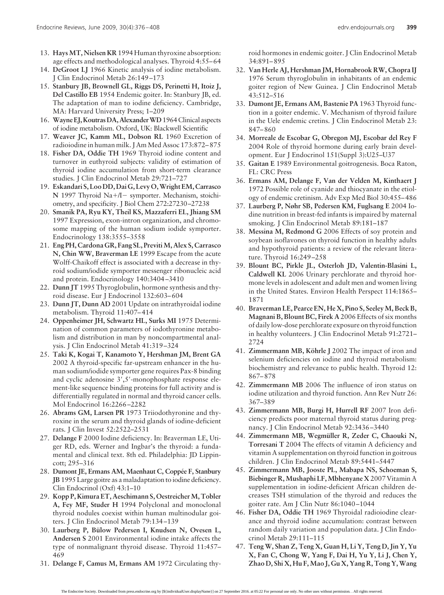- 13. **HaysMT, Nielsen KR** 1994 Human thyroxine absorption: age effects and methodological analyses. Thyroid 4:55-64
- 14. **DeGroot LJ** 1966 Kinetic analysis of iodine metabolism. J Clin Endocrinol Metab 26:149 –173
- 15. **Stanbury JB, Brownell GL, Riggs DS, Perinetti H, Itoiz J, Del Castillo EB** 1954 Endemic goiter. In: Stanbury JB, ed. The adaptation of man to iodine deficiency. Cambridge, MA: Harvard University Press; 1–209
- 16. **Wayne EJ, Koutras DA, AlexanderWD**1964 Clinical aspects of iodine metabolism. Oxford, UK: Blackwell Scientific
- 17. **Weaver JC, Kamm ML, Dobson RL** 1960 Excretion of radioiodine in human milk. J AmMed Assoc 173:872– 875
- 18. **Fisher DA, Oddie TH** 1969 Thyroid iodine content and turnover in euthyroid subjects: validity of estimation of thyroid iodine accumulation from short-term clearance studies. J Clin Endocrinol Metab 29:721–727
- 19. **Eskandari S, Loo DD, Dai G, Levy O,Wright EM, Carrasco**  $N$  1997 Thyroid Na+/I- symporter. Mechanism, stoichiometry, and specificity. J Biol Chem 272:27230 –27238
- 20. **Smanik PA, Ryu KY, Theil KS, Mazzaferri EL, Jhiang SM** 1997 Expression, exon-intron organization, and chromosome mapping of the human sodium iodide symporter. Endocrinology 138:3555–3558
- 21. **Eng PH, Cardona GR, Fang SL, PrevitiM, Alex S, Carrasco N, Chin WW, Braverman LE** 1999 Escape from the acute Wolff-Chaikoff effect is associated with a decrease in thyroid sodium/iodide symporter messenger ribonucleic acid and protein. Endocrinology 140:3404 –3410
- 22. **Dunn JT** 1995 Thyroglobulin, hormone synthesis and thyroid disease. Eur J Endocrinol 132:603– 604
- 23. **Dunn JT, Dunn AD** 2001 Update on intrathyroidal iodine metabolism. Thyroid 11:407– 414
- 24. **Oppenheimer JH, Schwartz HL, Surks MI** 1975 Determination of common parameters of iodothyronine metabolism and distribution in man by noncompartmental analysis. J Clin Endocrinol Metab 41:319 –324
- 25. **Taki K, Kogai T, Kanamoto Y, Hershman JM, Brent GA** 2002 A thyroid-specific far-upstream enhancer in the human sodium/iodide symporter gene requires Pax-8 binding and cyclic adenosine 3',5'-monophosphate response element-like sequence binding proteins for full activity and is differentially regulated in normal and thyroid cancer cells. Mol Endocrinol 16:2266 –2282
- 26. **Abrams GM, Larsen PR** 1973 Triiodothyronine and thyroxine in the serum and thyroid glands of iodine-deficient rats. J Clin Invest 52:2522–2531
- 27. **Delange F** 2000 Iodine deficiency. In: Braverman LE, Utiger RD, eds. Werner and Ingbar's the thyroid: a fundamental and clinical text. 8th ed. Philadelphia: JD Lippincott; 295–316
- 28. Dumont JE, Ermans AM, Maenhaut C, Coppée F, Stanbury **JB**1995 Large goitre as a maladaptation to iodine deficiency. Clin Endocrinol (Oxf) 43:1–10
- 29. **Kopp P, Kimura ET, Aeschimann S, OestreicherM, Tobler A, Fey MF, Studer H** 1994 Polyclonal and monoclonal thyroid nodules coexist within human multinodular goiters. J Clin Endocrinol Metab 79:134 –139
- 30. Laurberg P, Bülow Pedersen I, Knudsen N, Ovesen L, **Andersen S** 2001 Environmental iodine intake affects the type of nonmalignant thyroid disease. Thyroid 11:457– 469
- 31. **Delange F, Camus M, Ermans AM** 1972 Circulating thy-

roid hormones in endemic goiter. J Clin Endocrinol Metab 34:891– 895

- 32. **Van Herle AJ, Hershman JM, Hornabrook RW, Chopra IJ** 1976 Serum thyroglobulin in inhabitants of an endemic goiter region of New Guinea. J Clin Endocrinol Metab 43:512–516
- 33. **Dumont JE, Ermans AM, Bastenie PA** 1963 Thyroid function in a goiter endemic. V. Mechanism of thyroid failure in the Uele endemic cretins. J Clin Endocrinol Metab 23: 847– 860
- 34. **Morreale de Escobar G, Obregon MJ, Escobar del Rey F** 2004 Role of thyroid hormone during early brain development. Eur J Endocrinol 151(Suppl 3):U25–U37
- 35. **Gaitan E** 1989 Environmental goitrogenesis. Boca Raton, FL: CRC Press
- 36. **Ermans AM, Delange F, Van der Velden M, Kinthaert J** 1972 Possible role of cyanide and thiocyanate in the etiology of endemic cretinism. Adv Exp Med Biol 30:455– 486
- 37. **Laurberg P, Nøhr SB, Pedersen KM, Fuglsang E** 2004 Iodine nutrition in breast-fed infants is impaired by maternal smoking. J Clin Endocrinol Metab 89:181–187
- 38. **Messina M, Redmond G** 2006 Effects of soy protein and soybean isoflavones on thyroid function in healthy adults and hypothyroid patients: a review of the relevant literature. Thyroid 16:249 –258
- 39. **Blount BC, Pirkle JL, Osterloh JD, Valentin-Blasini L, Caldwell KL** 2006 Urinary perchlorate and thyroid hormone levels in adolescent and adult men and women living in the United States. Environ Health Perspect 114:1865– 1871
- 40. **Braverman LE, Pearce EN, He X, Pino S, Seeley M, Beck B, Magnani B, Blount BC, Firek A** 2006 Effects of six months of daily low-dose perchlorate exposure on thyroid function in healthy volunteers. J Clin Endocrinol Metab 91:2721– 2724
- 41. Zimmermann MB, Köhrle J 2002 The impact of iron and selenium deficiencies on iodine and thyroid metabolism: biochemistry and relevance to public health. Thyroid 12: 867– 878
- 42. **Zimmermann MB** 2006 The influence of iron status on iodine utilization and thyroid function. Ann Rev Nutr 26: 367–389
- 43. **Zimmermann MB, Burgi H, Hurrell RF** 2007 Iron deficiency predicts poor maternal thyroid status during pregnancy. J Clin Endocrinol Metab 92:3436 –3440
- 44. Zimmermann MB, Wegmüller R, Zeder C, Chaouki N, **Torresani T** 2004 The effects of vitamin A deficiency and vitamin A supplementation on thyroid function in goitrous children. J Clin Endocrinol Metab 89:5441–5447
- 45. **Zimmermann MB, Jooste PL, Mabapa NS, Schoeman S, Biebinger R, Mushaphi LF, Mbhenyane X** 2007 Vitamin A supplementation in iodine-deficient African children decreases TSH stimulation of the thyroid and reduces the goiter rate. Am J Clin Nutr 86:1040 –1044
- 46. **Fisher DA, Oddie TH** 1969 Thyroidal radioiodine clearance and thyroid iodine accumulation: contrast between random daily variation and population data. J Clin Endocrinol Metab 29:111–115
- 47. **Teng W, Shan Z, Teng X, Guan H, Li Y, Teng D, Jin Y, Yu X, Fan C, Chong W, Yang F, Dai H, Yu Y, Li J, Chen Y, Zhao D, Shi X, Hu F,Mao J, Gu X, Yang R, Tong Y,Wang**

The Endocrine Society. Downloaded from press.endocrine.org by [\${individualUser.displayName}] on 27 September 2016. at 05:22 For personal use only. No other uses without permission. . All rights reserved.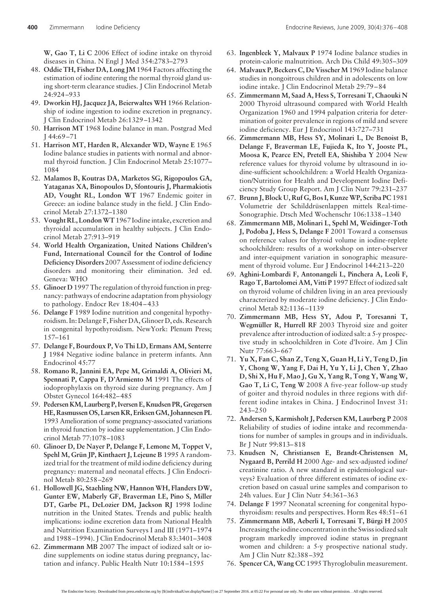**W, Gao T, Li C** 2006 Effect of iodine intake on thyroid diseases in China. N Engl J Med 354:2783–2793

- 48. **Oddie TH, Fisher DA, Long JM** 1964 Factors affecting the estimation of iodine entering the normal thyroid gland using short-term clearance studies. J Clin Endocrinol Metab 24:924 –933
- 49. **Dworkin HJ, Jacquez JA, Beierwaltes WH** 1966 Relationship of iodine ingestion to iodine excretion in pregnancy. J Clin Endocrinol Metab 26:1329 –1342
- 50. **Harrison MT** 1968 Iodine balance in man. Postgrad Med J 44:69 –71
- 51. **Harrison MT, Harden R, Alexander WD, Wayne E** 1965 Iodine balance studies in patients with normal and abnormal thyroid function. J Clin Endocrinol Metab 25:1077– 1084
- 52. **Malamos B, Koutras DA, Marketos SG, Rigopoulos GA, Yataganas XA, Binopoulos D, Sfontouris J, Pharmakiotis AD, Vought RL, London WT** 1967 Endemic goiter in Greece: an iodine balance study in the field. J Clin Endocrinol Metab 27:1372–1380
- 53. **Vought RL, LondonWT** 1967 Iodine intake, excretion and thyroidal accumulation in healthy subjects. J Clin Endocrinol Metab 27:913–919
- 54. **World Health Organization, United Nations Children's Fund, International Council for the Control of Iodine Deficiency Disorders** 2007 Assessment of iodine deficiency disorders and monitoring their elimination. 3rd ed. Geneva: WHO
- 55. **Glinoer D** 1997 The regulation of thyroid function in pregnancy: pathways of endocrine adaptation from physiology to pathology. Endocr Rev 18:404 – 433
- 56. **Delange F** 1989 Iodine nutrition and congenital hypothyroidism. In: Delange F, Fisher DA, Glinoer D, eds. Research in congenital hypothyroidism. NewYork: Plenum Press; 157–161
- 57. **Delange F, Bourdoux P, Vo Thi LD, Ermans AM, Senterre J** 1984 Negative iodine balance in preterm infants. Ann Endocrinol 45:77
- 58. **Romano R, Jannini EA, Pepe M, Grimaldi A, Olivieri M, Spennati P, Cappa F, D'Armiento M** 1991 The effects of iodoprophylaxis on thyroid size during pregnancy. Am J Obstet Gynecol 164:482– 485
- 59. **Pedersen KM, Laurberg P, Iversen E, Knudsen PR, Gregersen HE, Rasmussen OS, Larsen KR, Eriksen GM, Johannesen PL** 1993 Amelioration of some pregnancy-associated variations in thyroid function by iodine supplementation. J Clin Endocrinol Metab 77:1078 –1083
- 60. **Glinoer D, De Nayer P, Delange F, Lemone M, Toppet V,** Spehl M, Grün JP, Kinthaert J, Lejeune B 1995 A randomized trial for the treatment of mild iodine deficiency during pregnancy: maternal and neonatal effects. J Clin Endocrinol Metab 80:258 –269
- 61. **Hollowell JG, Staehling NW, Hannon WH, Flanders DW, Gunter EW, Maberly GF, Braverman LE, Pino S, Miller DT, Garbe PL, DeLozier DM, Jackson RJ** 1998 Iodine nutrition in the United States. Trends and public health implications: iodine excretion data from National Health and Nutrition Examination Surveys I and III (1971–1974 and 1988 –1994). J Clin Endocrinol Metab 83:3401–3408
- 62. **Zimmermann MB** 2007 The impact of iodized salt or iodine supplements on iodine status during pregnancy, lactation and infancy. Public Health Nutr 10:1584 –1595
- protein-calorie malnutrition. Arch Dis Child 49:305–309 64. **Malvaux P, Beckers C, De VisscherM**1969 Iodine balance
- studies in nongoitrous children and in adolescents on low iodine intake. J Clin Endocrinol Metab 29:79 – 84
- 65. **Zimmermann M, Saad A, Hess S, Torresani T, Chaouki N** 2000 Thyroid ultrasound compared with World Health Organization 1960 and 1994 palpation criteria for determination of goiter prevalence in regions of mild and severe iodine deficiency. Eur J Endocrinol 143:727–731
- 66. **Zimmermann MB, Hess SY, Molinari L, De Benoist B, Delange F, Braverman LE, Fujieda K, Ito Y, Jooste PL, Moosa K, Pearce EN, Pretell EA, Shishiba Y** 2004 New reference values for thyroid volume by ultrasound in iodine-sufficient schoolchildren: a World Health Organization/Nutrition for Health and Development Iodine Deficiency Study Group Report. Am J Clin Nutr 79:231–237
- 67. **Brunn J, Block U, Ruf G, Bos I, Kunze WP, Scriba PC** 1981 Volumetrie der Schilddrüsenlappen mittels Real-time-Sonographie. Dtsch Med Wochenschr 106:1338 –1340
- 68. **Zimmermann MB, Molinari L, Spehl M, Weidinger-Toth J, Podoba J, Hess S, Delange F** 2001 Toward a consensus on reference values for thyroid volume in iodine-replete schoolchildren: results of a workshop on inter-observer and inter-equipment variation in sonographic measurement of thyroid volume. Eur J Endocrinol 144:213–220
- 69. **Aghini-Lombardi F, Antonangeli L, Pinchera A, Leoli F, Rago T, Bartolomei AM, Vitti P** 1997 Effect of iodized salt on thyroid volume of children living in an area previously characterized by moderate iodine deficiency. J Clin Endocrinol Metab 82:1136 –1139
- 70. **Zimmermann MB, Hess SY, Adou P, Toresanni T,** Wegmüller R, Hurrell RF 2003 Thyroid size and goiter prevalence after introduction of iodized salt: a 5-y prospective study in schoolchildren in Cote d'Ivoire. Am J Clin Nutr 77:663– 667
- 71. **Yu X, Fan C, Shan Z, Teng X, Guan H, Li Y, Teng D, Jin Y, Chong W, Yang F, Dai H, Yu Y, Li J, Chen Y, Zhao D, Shi X, Hu F, Mao J, Gu X, Yang R, Tong Y, Wang W, Gao T, Li C, Teng W** 2008 A five-year follow-up study of goiter and thyroid nodules in three regions with different iodine intakes in China. J Endocrinol Invest 31: 243–250
- 72. **Andersen S, Karmisholt J, Pedersen KM, Laurberg P** 2008 Reliability of studies of iodine intake and recommendations for number of samples in groups and in individuals. Br J Nutr 99:813– 818
- 73. **Knudsen N, Christiansen E, Brandt-Christensen M, Nygaard B, Perrild H** 2000 Age- and sex-adjusted iodine/ creatinine ratio. A new standard in epidemiological surveys? Evaluation of three different estimates of iodine excretion based on casual urine samples and comparison to 24h values. Eur J Clin Nutr 54:361–363
- 74. **Delange F** 1997 Neonatal screening for congenital hypothyroidism: results and perspectives. Horm Res 48:51-61
- 75. **Zimmermann MB, Aeberli I, Torresani T, Bürgi H** 2005 Increasing the iodine concentration in the Swiss iodized salt program markedly improved iodine status in pregnant women and children: a 5-y prospective national study. Am J Clin Nutr 82:388 –392
- 76. **Spencer CA, Wang CC** 1995 Thyroglobulin measurement.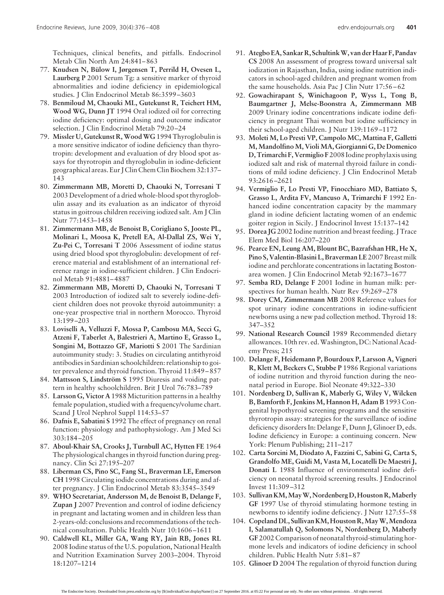Techniques, clinical benefits, and pitfalls. Endocrinol Metab Clin North Am 24:841– 863

- 77. Knudsen N, Bülow I, Jørgensen T, Perrild H, Ovesen L, **Laurberg P** 2001 Serum Tg: a sensitive marker of thyroid abnormalities and iodine deficiency in epidemiological studies. J Clin Endocrinol Metab 86:3599 –3603
- 78. **Benmiloud M, Chaouki ML, Gutekunst R, Teichert HM, Wood WG, Dunn JT** 1994 Oral iodized oil for correcting iodine deficiency: optimal dosing and outcome indicator selection. J Clin Endocrinol Metab 79:20 –24
- 79. **Missler U, Gutekunst R,WoodWG** 1994 Thyroglobulin is a more sensitive indicator of iodine deficiency than thyrotropin: development and evaluation of dry blood spot assays for thyrotropin and thyroglobulin in iodine-deficient geographical areas. Eur J Clin Chem Clin Biochem 32:137– 143
- 80. **Zimmermann MB, Moretti D, Chaouki N, Torresani T** 2003 Development of a dried whole-blood spot thyroglobulin assay and its evaluation as an indicator of thyroid status in goitrous children receiving iodized salt. Am J Clin Nutr 77:1453–1458
- 81. **Zimmermann MB, de Benoist B, Corigliano S, Jooste PL, Molinari L, Moosa K, Pretell EA, Al-Dallal ZS, Wei Y, Zu-Pei C, Torresani T** 2006 Assessment of iodine status using dried blood spot thyroglobulin: development of reference material and establishment of an international reference range in iodine-sufficient children. J Clin Endocrinol Metab 91:4881– 4887
- 82. **Zimmermann MB, Moretti D, Chaouki N, Torresani T** 2003 Introduction of iodized salt to severely iodine-deficient children does not provoke thyroid autoimmunity: a one-year prospective trial in northern Morocco. Thyroid 13:199 –203
- 83. **Loviselli A, Velluzzi F, Mossa P, Cambosu MA, Secci G, Atzeni F, Taberlet A, Balestrieri A, Martino E, Grasso L, Songini M, Bottazzo GF, Mariotti S** 2001 The Sardinian autoimmunity study: 3. Studies on circulating antithyroid antibodies in Sardinian schoolchildren: relationship to goiter prevalence and thyroid function. Thyroid 11:849 – 857
- 84. Mattsson S, Lindström S 1995 Diuresis and voiding pattern in healthy schoolchildren. Brit J Urol 76:783–789
- 85. **Larsson G, Victor A** 1988Micturition patterns in a healthy female population, studied with a frequency/volume chart. Scand J Urol Nephrol Suppl 114:53–57
- 86. **Dafnis E, Sabatini S** 1992 The effect of pregnancy on renal function: physiology and pathophysiology. Am J Med Sci 303:184 –205
- 87. **Aboul-Khair SA, Crooks J, Turnbull AC, Hytten FE** 1964 The physiological changes in thyroid function during pregnancy. Clin Sci 27:195–207
- 88. **Liberman CS, Pino SC, Fang SL, Braverman LE, Emerson CH** 1998 Circulating iodide concentrations during and after pregnancy. J Clin Endocrinol Metab 83:3545–3549
- 89. **WHO Secretariat, Andersson M, de Benoist B, Delange F, Zupan J** 2007 Prevention and control of iodine deficiency in pregnant and lactating women and in children less than 2-years-old: conclusions and recommendations of the technical consultation. Public Health Nutr 10:1606 –1611
- 90. **Caldwell KL, Miller GA, Wang RY, Jain RB, Jones RL** 2008 Iodine status of the U.S. population, National Health and Nutrition Examination Survey 2003–2004. Thyroid 18:1207–1214
- 91. **Ategbo EA, Sankar R, SchultinkW, van der Haar F, Pandav CS** 2008 An assessment of progress toward universal salt iodization in Rajasthan, India, using iodine nutrition indicators in school-aged children and pregnant women from the same households. Asia Pac J Clin Nutr 17:56-62
- 92. **Gowachirapant S, Winichagoon P, Wyss L, Tong B, Baumgartner J, Melse-Boonstra A, Zimmermann MB** 2009 Urinary iodine concentrations indicate iodine deficiency in pregnant Thai women but iodine sufficiency in their school-aged children. J Nutr 139:1169 –1172
- 93. **Moleti M, Lo Presti VP, Campolo MC, Mattina F, Galletti M, Mandolfino M, Violi MA, Giorgianni G, De Domenico D, Trimarchi F, Vermiglio F** 2008 Iodine prophylaxis using iodized salt and risk of maternal thyroid failure in conditions of mild iodine deficiency. J Clin Endocrinol Metab 93:2616 –2621
- 94. **Vermiglio F, Lo Presti VP, Finocchiaro MD, Battiato S, Grasso L, Ardita FV, Mancuso A, Trimarchi F** 1992 Enhanced iodine concentration capacity by the mammary gland in iodine deficient lactating women of an endemic goiter region in Sicily. J Endocrinol Invest 15:137–142
- 95. **Dorea JG** 2002 Iodine nutrition and breast feeding. J Trace Elem Med Biol 16:207–220
- 96. **Pearce EN, Leung AM, Blount BC, Bazrafshan HR, He X, Pino S, Valentin-Blasini L, Braverman LE**2007 Breast milk iodine and perchlorate concentrations in lactating Bostonarea women. J Clin Endocrinol Metab 92:1673–1677
- 97. **Semba RD, Delange F** 2001 Iodine in human milk: perspectives for human health. Nutr Rev 59:269 –278
- 98. **Dorey CM, Zimmermann MB** 2008 Reference values for spot urinary iodine concentrations in iodine-sufficient newborns using a new pad collection method. Thyroid 18: 347–352
- 99. **National Research Council** 1989 Recommended dietary allowances. 10th rev. ed.Washington, DC: National Academy Press; 215
- 100. **Delange F, Heidemann P, Bourdoux P, Larsson A, Vigneri R, Klett M, Beckers C, Stubbe P** 1986 Regional variations of iodine nutrition and thyroid function during the neonatal period in Europe. Biol Neonate 49:322–330
- 101. **Nordenberg D, Sullivan K, Maberly G, Wiley V, Wilcken B, Bamforth F, Jenkins M, Hannon H, Adam B** 1993 Congenital hypothyroid screening programs and the sensitive thyrotropin assay: strategies for the surveillance of iodine deficiency disorders In: Delange F, Dunn J, Glinoer D, eds. Iodine deficiency in Europe: a continuing concern. New York: Plenum Publishing; 211–217
- 102. **Carta Sorcini M, Diodato A, Fazzini C, Sabini G, Carta S, Grandolfo ME, Guidi M, Vasta M, Locatelli De Maestri J, Donati L** 1988 Influence of environmental iodine deficiency on neonatal thyroid screening results. J Endocrinol Invest 11:309 –312
- 103. **Sullivan KM,MayW, Nordenberg D, Houston R,Maberly GF** 1997 Use of thyroid stimulating hormone testing in newborns to identify iodine deficiency. J Nutr 127:55–58
- 104. **Copeland DL, Sullivan KM, Houston R,MayW,Mendoza I, Salamatullah Q, Solomons N, Nordenberg D, Maberly GF** 2002 Comparison of neonatal thyroid-stimulating hormone levels and indicators of iodine deficiency in school children. Public Health Nutr 5:81– 87
- 105. **Glinoer D** 2004 The regulation of thyroid function during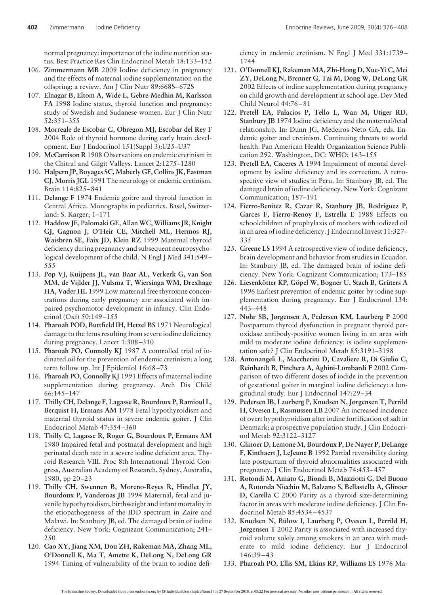normal pregnancy: importance of the iodine nutrition status. Best Practice Res Clin Endocrinol Metab 18:133–152

- 106. **Zimmermann MB** 2009 Iodine deficiency in pregnancy and the effects of maternal iodine supplementation on the offspring: a review. Am J Clin Nutr 89:668S– 672S
- 107. **Elnagar B, Eltom A, Wide L, Gebre-Medhin M, Karlsson FA** 1998 Iodine status, thyroid function and pregnancy: study of Swedish and Sudanese women. Eur J Clin Nutr 52:351–355
- 108. **Morreale de Escobar G, Obregon MJ, Escobar del Rey F** 2004 Role of thyroid hormone during early brain development. Eur J Endocrinol 151(Suppl 3):U25–U37
- 109. **McCarrison R** 1908 Observations on endemic cretinism in the Chitral and Gilgit Valleys. Lancet 2:1275–1280
- 110. **Halpern JP, Boyages SC,Maberly GF, Collins JK, Eastman CJ, Morris JGL** 1991 The neurology of endemic cretinism. Brain 114:825– 841
- 111. **Delange F** 1974 Endemic goitre and thyroid function in Central Africa. Monographs in pediatrics. Basel, Switzerland: S. Karger; 1–171
- 112. **Haddow JE, Palomaki GE, AllanWC,Williams JR, Knight GJ, Gagnon J, O'Heir CE, Mitchell ML, Hermos RJ, Waisbren SE, Faix JD, Klein RZ** 1999 Maternal thyroid deficiency during pregnancy and subsequent neuropsychological development of the child. N Engl J Med 341:549 – 555
- 113. **Pop VJ, Kuijpens JL, van Baar AL, Verkerk G, van Son MM, de Vijlder JJ, Vulsma T, Wiersinga WM, Drexhage HA, Vader HL** 1999 Low maternal free thyroxine concentrations during early pregnancy are associated with impaired psychomotor development in infancy. Clin Endocrinol (Oxf) 50:149 –155
- 114. **Pharoah POD, Buttfield IH, Hetzel BS** 1971 Neurological damage to the fetus resulting from severe iodine deficiency during pregnancy. Lancet 1:308 –310
- 115. **Pharoah PO, Connolly KJ** 1987 A controlled trial of iodinated oil for the prevention of endemic cretinism: a long term follow up. Int J Epidemiol 16:68 –73
- 116. **Pharoah PO, Connolly KJ** 1991 Effects of maternal iodine supplementation during pregnancy. Arch Dis Child 66:145–147
- 117. **Thilly CH, Delange F, Lagasse R, Bourdoux P, Ramioul L, Berquist H, Ermans AM** 1978 Fetal hypothyroidism and maternal thyroid status in severe endemic goiter. J Clin Endocrinol Metab 47:354 –360
- 118. **Thilly C, Lagasse R, Roger G, Bourdoux P, Ermans AM** 1980 Impaired fetal and postnatal development and high perinatal death rate in a severe iodine deficient area. Thyroid Research VIII. Proc 8th International Thyroid Congress, Australian Academy of Research, Sydney, Australia, 1980, pp 20 –23
- 119. **Thilly CH, Swennen B, Moreno-Reyes R, Hindlet JY, Bourdoux P, Vanderoas JB** 1994 Maternal, fetal and juvenile hypothyroidism, birthweight and infant mortality in the etiopathogenesis of the IDD spectrum in Zaire and Malawi. In: Stanbury JB, ed. The damaged brain of iodine deficiency. New York: Cognizant Communication; 241– 250
- 120. **Cao XY, Jiang XM, Dou ZH, Rakeman MA, Zhang ML, O'Donnell K, Ma T, Amette K, DeLong N, DeLong GR** 1994 Timing of vulnerability of the brain to iodine defi-

ciency in endemic cretinism. N Engl J Med 331:1739 – 1744

- 121. **O'Donnell KJ, RakemanMA, Zhi-Hong D, Xue-Yi C,Mei ZY, DeLong N, Brenner G, Tai M, Dong W, DeLong GR** 2002 Effects of iodine supplementation during pregnancy on child growth and development at school age. Dev Med Child Neurol 44:76 – 81
- 122. **Pretell EA, Palacios P, Tello L, Wan M, Utiger RD, Stanbury JB** 1974 Iodine deficiency and the maternal/fetal relationship. In: Dunn JG, Medeiros-Neto GA, eds. Endemic goiter and cretinism. Continuing threats to world health. Pan American Health Organization Science Publication 292. Washington, DC: WHO; 143–155
- 123. **Pretell EA, Caceres A** 1994 Impairment of mental development by iodine deficiency and its correction. A retrospective view of studies in Peru. In: Stanbury JB, ed. The damaged brain of iodine deficiency. New York: Cognizant Communication; 187–191
- 124. **Fierro-Benitez R, Cazar R, Stanbury JB, Rodriguez P, Garces F, Fierro-Renoy F, Estrella E** 1988 Effects on schoolchildren of prophylaxis of mothers with iodized oil in an area of iodine deficiency. J Endocrinol Invest 11:327– 335
- 125. **Greene LS** 1994 A retrospective view of iodine deficiency, brain development and behavior from studies in Ecuador. In: Stanbury JB, ed. The damaged brain of iodine deficiency. New York: Cognizant Communication; 173–185
- 126. Liesenkötter KP, Göpel W, Bogner U, Stach B, Grüters A 1996 Earliest prevention of endemic goiter by iodine supplementation during pregnancy. Eur J Endocrinol 134: 443– 448
- 127. **Nøhr SB, Jørgensen A, Pedersen KM, Laurberg P** 2000 Postpartum thyroid dysfunction in pregnant thyroid peroxidase antibody-positive women living in an area with mild to moderate iodine deficiency: is iodine supplementation safe? J Clin Endocrinol Metab 85:3191–3198
- 128. **Antonangeli L, Maccherini D, Cavaliere R, Di Giulio C, Reinhardt B, Pinchera A, Aghini-Lombardi F** 2002 Comparison of two different doses of iodide in the prevention of gestational goiter in marginal iodine deficiency: a longitudinal study. Eur J Endocrinol 147:29 –34
- 129. **Pedersen IB, Laurberg P, Knudsen N, Jørgensen T, Perrild H, Ovesen L, Rasmussen LB** 2007 An increased incidence of overt hypothyroidism after iodine fortification of salt in Denmark: a prospective population study. J Clin Endocrinol Metab 92:3122–3127
- 130. **Glinoer D, Lemone M, Bourdoux P, De Nayer P, DeLange F, Kinthaert J, LeJeune B** 1992 Partial reversibility during late postpartum of thyroid abnormalities associated with pregnancy. J Clin Endocrinol Metab 74:453– 457
- 131. **Rotondi M, Amato G, Biondi B, Mazziotti G, Del Buono A, Rotonda Nicchio M, Balzano S, Bellastella A, Glinoer D, Carella C** 2000 Parity as a thyroid size-determining factor in areas with moderate iodine deficiency. J Clin Endocrinol Metab 85:4534 – 4537
- 132. Knudsen N, Bülow I, Laurberg P, Ovesen L, Perrild H, **Jørgensen T** 2002 Parity is associated with increased thyroid volume solely among smokers in an area with moderate to mild iodine deficiency. Eur J Endocrinol 146:39 – 43
- 133. **Pharoah PO, Ellis SM, Ekins RP, Williams ES** 1976 Ma-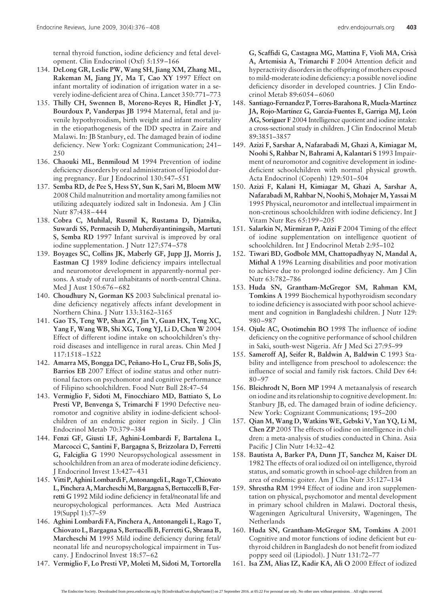ternal thyroid function, iodine deficiency and fetal development. Clin Endocrinol (Oxf) 5:159 –166

- 134. **DeLong GR, Leslie PW, Wang SH, Jiang XM, Zhang ML, Rakeman M, Jiang JY, Ma T, Cao XY** 1997 Effect on infant mortality of iodination of irrigation water in a severely iodine-deficient area of China. Lancet 350:771–773
- 135. **Thilly CH, Swennen B, Moreno-Reyes R, Hindlet J-Y, Bourdoux P, Vanderpas JB** 1994 Maternal, fetal and juvenile hypothyroidism, birth weight and infant mortality in the etiopathogenesis of the IDD spectra in Zaire and Malawi. In: JB Stanbury, ed. The damaged brain of iodine deficiency. New York: Cognizant Communication; 241– 250
- 136. **Chaouki ML, Benmiloud M** 1994 Prevention of iodine deficiency disorders by oral administration of lipiodol during pregnancy. Eur J Endocrinol 130:547–551
- 137. **Semba RD, de Pee S, Hess SY, Sun K, Sari M, Bloem MW** 2008 Child malnutrition and mortality among families not utilizing adequately iodized salt in Indonesia. Am J Clin Nutr 87:438 – 444
- 138. **Cobra C, Muhilal, Rusmil K, Rustama D, Djatnika, Suwardi SS, Permaesih D, Muherdiyantiningsih, Martuti S, Semba RD** 1997 Infant survival is improved by oral iodine supplementation. J Nutr 127:574 –578
- 139. **Boyages SC, Collins JK, Maberly GF, Jupp JJ, Morris J, Eastman CJ** 1989 Iodine deficiency impairs intellectual and neuromotor development in apparently-normal persons. A study of rural inhabitants of north-central China. Med J Aust 150:676-682
- 140. **Choudhury N, Gorman KS** 2003 Subclinical prenatal iodine deficiency negatively affects infant development in Northern China. J Nutr 133:3162–3165
- 141. **Gao TS, Teng WP, Shan ZY, Jin Y, Guan HX, Teng XC, Yang F, Wang WB, Shi XG, Tong YJ, Li D, Chen W** 2004 Effect of different iodine intake on schoolchildren's thyroid diseases and intelligence in rural areas. Chin Med J 117:1518 –1522
- 142. Amarra MS, Bongga DC, Peñano-Ho L, Cruz FB, Solis JS, **Barrios EB** 2007 Effect of iodine status and other nutritional factors on psychomotor and cognitive performance of Filipino schoolchildren. Food Nutr Bull 28:47–54
- 143. **Vermiglio F, Sidoti M, Finocchiaro MD, Battiato S, Lo Presti VP, Benvenga S, Trimarchi F** 1990 Defective neuromotor and cognitive ability in iodine-deficient schoolchildren of an endemic goiter region in Sicily. J Clin Endocrinol Metab 70:379 –384
- 144. **Fenzi GF, Giusti LF, Aghini-Lombardi F, Bartalena L, Marcocci C, Santini F, Bargagna S, Brizzolara D, Ferretti G, Falciglia G** 1990 Neuropsychological assessment in schoolchildren from an area of moderate iodine deficiency. J Endocrinol Invest 13:427– 431
- 145. **Vitti P, Aghini Lombardi F, Antonangeli L, Rago T, Chiovato L, Pinchera A,MarcheschiM, Bargagna S, Bertuccelli B, Ferretti G** 1992 Mild iodine deficiency in fetal/neonatal life and neuropsychological performances. Acta Med Austriaca 19(Suppl 1):57–59
- 146. **Aghini Lombardi FA, Pinchera A, Antonangeli L, Rago T, Chiovato L, Bargagna S, Bertucelli B, Ferretti G, Sbrana B, Marcheschi M** 1995 Mild iodine deficiency during fetal/ neonatal life and neuropsychological impairment in Tuscany. J Endocrinol Invest 18:57– 62
- 147. **Vermiglio F, Lo Presti VP, Moleti M, Sidoti M, Tortorella**

**G, Scaffidi G, Castagna MG, Mattina F, Violi MA, Crisa` A, Artemisia A, Trimarchi F** 2004 Attention deficit and hyperactivity disorders in the offspring of mothers exposed to mild-moderate iodine deficiency: a possible novel iodine deficiency disorder in developed countries. J Clin Endocrinol Metab 89:6054 – 6060

- 148. **Santiago-Fernandez P, Torres-Barahona R,Muela-Martínez** JA, Rojo-Martínez G, García-Fuentes E, Garriga MJ, León **AG, Soriguer F** 2004 Intelligence quotient and iodine intake: a cross-sectional study in children. J Clin Endocrinol Metab 89:3851–3857
- 149. **Azizi F, Sarshar A, Nafarabadi M, Ghazi A, Kimiagar M, Noohi S, Rahbar N, Bahrami A, Kalantari S** 1993 Impairment of neuromotor and cognitive development in iodinedeficient schoolchildren with normal physical growth. Acta Endocrinol (Copenh) 129:501–504
- 150. **Azizi F, Kalani H, Kimiagar M, Ghazi A, Sarshar A, Nafarabadi M, Rahbar N, Noohi S, Mohajer M, Yassai M** 1995 Physical, neuromotor and intellectual impairment in non-cretinous schoolchildren with iodine deficiency. Int J Vitam Nutr Res 65:199 –205
- 151. **Salarkin N, Mirmiran P, Azizi F** 2004 Timing of the effect of iodine supplementation on intelligence quotient of schoolchildren. Int J Endocrinol Metab 2:95–102
- 152. **Tiwari BD, Godbole MM, Chattopadhyay N, Mandal A, Mithal A** 1996 Learning disabilities and poor motivation to achieve due to prolonged iodine deficiency. Am J Clin Nutr 63:782–786
- 153. **Huda SN, Grantham-McGregor SM, Rahman KM, Tomkins A** 1999 Biochemical hypothyroidism secondary to iodine deficiency is associated with poor school achievement and cognition in Bangladeshi children. J Nutr 129: 980 –987
- 154. **Ojule AC, Osotimehin BO** 1998 The influence of iodine deficiency on the cognitive performance of school children in Saki, south-west Nigeria. Afr J Med Sci 27:95–99
- 155. **Sameroff AJ, Seifer R, Baldwin A, Baldwin C** 1993 Stability and intelligence from preschool to adolescence: the influence of social and family risk factors. Child Dev 64: 80 –97
- 156. **Bleichrodt N, Born MP** 1994 A metaanalysis of research on iodine and its relationship to cognitive development. In: Stanbury JB, ed. The damaged brain of iodine deficiency. New York: Cognizant Communications; 195–200
- 157. **Qian M, Wang D, Watkins WE, Gebski V, Yan YQ, Li M, Chen ZP** 2005 The effects of iodine on intelligence in children: a meta-analysis of studies conducted in China. Asia Pacific J Clin Nutr 14:32-42
- 158. **Bautista A, Barker PA, Dunn JT, Sanchez M, Kaiser DL** 1982 The effects of oral iodized oil on intelligence, thyroid status, and somatic growth in school-age children from an area of endemic goiter. Am J Clin Nutr 35:127–134
- 159. **Shrestha RM** 1994 Effect of iodine and iron supplementation on physical, psychomotor and mental development in primary school children in Malawi. Doctoral thesis, Wageningen Agricultural University, Wageningen, The Netherlands
- 160. **Huda SN, Grantham-McGregor SM, Tomkins A** 2001 Cognitive and motor functions of iodine deficient but euthyroid children in Bangladesh do not benefit from iodized poppy seed oil (Lipiodol). J Nutr 131:72–77
- 161. **Isa ZM, Alias IZ, Kadir KA, Ali O** 2000 Effect of iodized

The Endocrine Society. Downloaded from press.endocrine.org by [\${individualUser.displayName}] on 27 September 2016. at 05:22 For personal use only. No other uses without permission. . All rights reserved.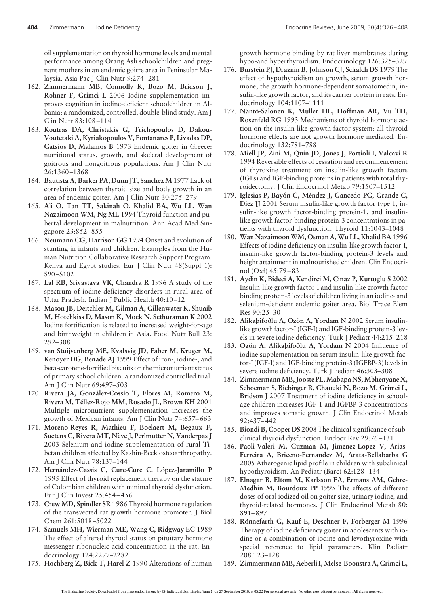oil supplementation on thyroid hormone levels and mental performance among Orang Asli schoolchildren and pregnant mothers in an endemic goitre area in Peninsular Malaysia. Asia Pac J Clin Nutr 9:274 –281

- 162. **Zimmermann MB, Connolly K, Bozo M, Bridson J, Rohner F, Grimci L** 2006 Iodine supplementation improves cognition in iodine-deficient schoolchildren in Albania: a randomized, controlled, double-blind study. Am J Clin Nutr 83:108 –114
- 163. **Koutras DA, Christakis G, Trichopoulos D, Dakou-Voutetaki A, Kyriakopoulos V, Fontanares P, Livadas DP, Gatsios D, Malamos B** 1973 Endemic goiter in Greece: nutritional status, growth, and skeletal development of goitrous and nongoitrous populations. Am J Clin Nutr 26:1360 –1368
- 164. **Bautista A, Barker PA, Dunn JT, Sanchez M** 1977 Lack of correlation between thyroid size and body growth in an area of endemic goiter. Am J Clin Nutr 30:275–279
- 165. **Ali O, Tan TT, Sakinah O, Khalid BA, Wu LL, Wan Nazaimoon WM, Ng ML** 1994 Thyroid function and pubertal development in malnutrition. Ann Acad Med Singapore 23:852– 855
- 166. **Neumann CG, Harrison GG** 1994 Onset and evolution of stunting in infants and children. Examples from the Human Nutrition Collaborative Research Support Program. Kenya and Egypt studies. Eur J Clin Nutr 48(Suppl 1): S90 –S102
- 167. **Lal RB, Srivastava VK, Chandra R** 1996 A study of the spectrum of iodine deficiency disorders in rural area of Uttar Pradesh. Indian J Public Health 40:10 –12
- 168. **Mason JB, Deitchler M, Gilman A, Gillenwater K, Shuaib M, Hotchkiss D, Mason K, Mock N, Sethuraman K** 2002 Iodine fortification is related to increased weight-for-age and birthweight in children in Asia. Food Nutr Bull 23: 292–308
- 169. **van Stuijvenberg ME, Kvalsvig JD, Faber M, Kruger M,** Kenoyer DG, Benadé AJ 1999 Effect of iron-, iodine-, and beta-carotene-fortified biscuits on the micronutrient status of primary school children: a randomized controlled trial. Am J Clin Nutr 69:497–503
- 170. Rivera JA, González-Cossío T, Flores M, Romero M, **Rivera M, Te´llez-Rojo MM, Rosado JL, Brown KH** 2001 Multiple micronutrient supplementation increases the growth of Mexican infants. Am J Clin Nutr 74:657– 663
- 171. **Moreno-Reyes R, Mathieu F, Boelaert M, Begaux F,** Suetens C, Rivera MT, Nève J, Perlmutter N, Vanderpas J 2003 Selenium and iodine supplementation of rural Tibetan children affected by Kashin-Beck osteoarthropathy. Am J Clin Nutr 78:137–144
- 172. Hernández-Cassis C, Cure-Cure C, López-Jaramillo P 1995 Effect of thyroid replacement therapy on the stature of Colombian children with minimal thyroid dysfunction. Eur J Clin Invest 25:454 – 456
- 173. **Crew MD, Spindler SR** 1986 Thyroid hormone regulation of the transvected rat growth hormone promoter. J Biol Chem 261:5018 –5022
- 174. **Samuels MH, Wierman ME, Wang C, Ridgway EC** 1989 The effect of altered thyroid status on pituitary hormone messenger ribonucleic acid concentration in the rat. Endocrinology 124:2277–2282
- 175. **Hochberg Z, Bick T, Harel Z** 1990 Alterations of human

growth hormone binding by rat liver membranes during hypo-and hyperthyroidism. Endocrinology 126:325–329

- 176. **Burstein PJ, Draznin B, Johnson CJ, Schalch DS** 1979 The effect of hypothyroidism on growth, serum growth hormone, the growth hormone-dependent somatomedin, insulin-like growth factor, and its carrier protein in rats. Endocrinology 104:1107–1111
- 177. Näntö-Salonen K, Muller HL, Hoffman AR, Vu TH, **Rosenfeld RG** 1993 Mechanisms of thyroid hormone action on the insulin-like growth factor system: all thyroid hormone effects are not growth hormone mediated. Endocrinology 132:781–788
- 178. **Miell JP, Zini M, Quin JD, Jones J, Portioli I, Valcavi R** 1994 Reversible effects of cessation and recommencement of thyroxine treatment on insulin-like growth factors (IGFs) and IGF-binding proteins in patients with total thyroidectomy. J Clin Endocrinol Metab 79:1507–1512
- 179. Iglesias P, Bayón C, Méndez J, Gancedo PG, Grande C, **Diez JJ** 2001 Serum insulin-like growth factor type 1, insulin-like growth factor-binding protein-1, and insulinlike growth factor-binding protein-3 concentrations in patients with thyroid dysfunction. Thyroid 11:1043–1048
- 180. **Wan NazaimoonWM, Osman A,Wu LL, Khalid BA** 1996 Effects of iodine deficiency on insulin-like growth factor-I, insulin-like growth factor-binding protein-3 levels and height attainment in malnourished children. Clin Endocrinol (Oxf) 45:79 – 83
- 181. **Aydin K, Bideci A, Kendirci M, Cinaz P, Kurtoglu S** 2002 Insulin-like growth factor-I and insulin-like growth factor binding protein-3 levels of children living in an iodine- and selenium-deficient endemic goiter area. Biol Trace Elem Res 90:25–30
- 182. Alikabifoðlu A, Ozön A, Yordam N 2002 Serum insulinlike growth factor-I (IGF-I) and IGF-binding protein-3 levels in severe iodine deficiency. Turk J Pediatr 44:215–218
- 183. Ozön A, Alikabifoðlu A, Yordam N 2004 Influence of iodine supplementation on serum insulin-like growth factor-I (IGF-I) and IGF-binding protein-3 (IGFBP-3) levels in severe iodine deficiency. Turk J Pediatr 46:303–308
- 184. **ZimmermannMB, Jooste PL, Mabapa NS, Mbhenyane X, Schoeman S, Biebinger R, Chaouki N, Bozo M, Grimci L, Bridson J** 2007 Treatment of iodine deficiency in schoolage children increases IGF-1 and IGFBP-3 concentrations and improves somatic growth. J Clin Endocrinol Metab 92:437– 442
- 185. **Biondi B, Cooper DS** 2008 The clinical significance of subclinical thyroid dysfunction. Endocr Rev 29:76 –131
- 186. **Paoli-Valeri M, Guzman M, Jimenez-Lopez V, Arias-Ferreira A, Briceno-Fernandez M, Arata-Bellabarba G** 2005 Atherogenic lipid profile in children with subclinical hypothyroidism. An Pediatr (Barc) 62:128 –134
- 187. **Elnagar B, Eltom M, Karlsson FA, Ermans AM, Gebre-Medhin M, Bourdoux PP** 1995 The effects of different doses of oral iodized oil on goiter size, urinary iodine, and thyroid-related hormones. J Clin Endocrinol Metab 80: 891– 897
- 188. Rönnefarth G, Kauf E, Deschner F, Forberger M 1996 Therapy of iodine deficiency goiter in adolescents with iodine or a combination of iodine and levothyroxine with special reference to lipid parameters. Klin Padiatr 208:123–128
- 189. **Zimmermann MB, Aeberli I, Melse-Boonstra A, Grimci L,**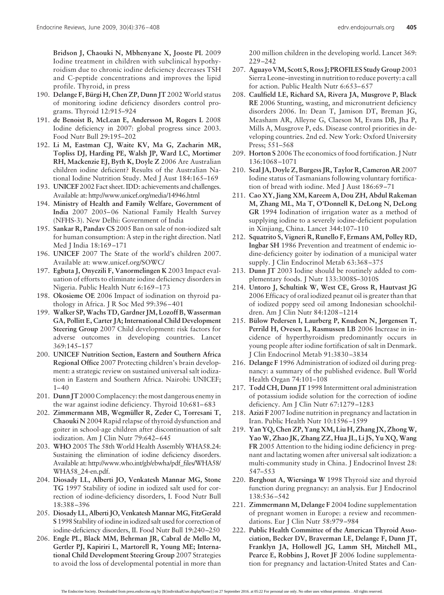**Bridson J, Chaouki N, Mbhenyane X, Jooste PL** 2009 Iodine treatment in children with subclinical hypothyroidism due to chronic iodine deficiency decreases TSH and C-peptide concentrations and improves the lipid profile. Thyroid, in press

- 190. Delange F, Bürgi H, Chen ZP, Dunn JT 2002 World status of monitoring iodine deficiency disorders control programs. Thyroid 12:915–924
- 191. **de Benoist B, McLean E, Andersson M, Rogers L** 2008 Iodine deficiency in 2007: global progress since 2003. Food Nutr Bull 29:195–202
- 192. **Li M, Eastman CJ, Waite KV, Ma G, Zacharin MR, Topliss DJ, Harding PE, Walsh JP, Ward LC, Mortimer RH, Mackenzie EJ, Byth K, Doyle Z** 2006 Are Australian children iodine deficient? Results of the Australian National Iodine Nutrition Study. Med J Aust 184:165–169
- 193. **UNICEF** 2002 Fact sheet. IDD: achievements and challenges. Available at: http://www.unicef.org/media/14946.html
- 194. **Ministry of Health and Family Welfare, Government of India** 2007 2005– 06 National Family Health Survey (NFHS-3). New Delhi: Government of India
- 195. **Sankar R, Pandav CS** 2005 Ban on sale of non-iodized salt for human consumption: A step in the right direction. Natl Med J India 18:169 –171
- 196. **UNICEF** 2007 The State of the world's children 2007. Available at: www.unicef.org/SOWC/
- 197. **Egbuta J, Onyezili F, Vanormelingen K** 2003 Impact evaluation of efforts to eliminate iodine deficiency disorders in Nigeria. Public Health Nutr 6:169 –173
- 198. **Okosieme OE** 2006 Impact of iodination on thyroid pathology in Africa. J R Soc Med 99:396 – 401
- 199. **Walker SP, Wachs TD, Gardner JM, Lozoff B, Wasserman GA, Pollitt E, Carter JA; International Child Development Steering Group** 2007 Child development: risk factors for adverse outcomes in developing countries. Lancet 369:145–157
- 200. **UNICEF Nutrition Section, Eastern and Southern Africa Regional Office** 2007 Protecting children's brain development: a strategic review on sustained universal salt iodization in Eastern and Southern Africa. Nairobi: UNICEF;  $1 - 40$
- 201. **Dunn JT** 2000 Complacency: the most dangerous enemy in the war against iodine deficiency. Thyroid 10:681-683
- 202. Zimmermann MB, Wegmüller R, Zeder C, Torresani T, **Chaouki N** 2004 Rapid relapse of thyroid dysfunction and goiter in school-age children after discontinuation of salt iodization. Am J Clin Nutr 79:642– 645
- 203. **WHO** 2005 The 58th World Health Assembly WHA58.24: Sustaining the elimination of iodine deficiency disorders. Available at: http://www.who.int/gb/ebwha/pdf\_files/WHA58/ WHA58\_24-en.pdf.
- 204. **Diosady LL, Alberti JO, Venkatesh Mannar MG, Stone TG** 1997 Stability of iodine in iodized salt used for correction of iodine-deficiency disorders, I. Food Nutr Bull 18:388 –396
- 205. **Diosady LL, Alberti JO, Venkatesh Mannar MG, FitzGerald S** 1998 Stability of iodine in iodized salt used for correction of iodine-deficiency disorders, II. Food Nutr Bull 19:240 –250
- 206. **Engle PL, Black MM, Behrman JR, Cabral de Mello M, Gertler PJ, Kapiriri L, Martorell R, Young ME; International Child Development Steering Group** 2007 Strategies to avoid the loss of developmental potential in more than

200 million children in the developing world. Lancet 369: 229 –242

- 207. **Aguayo VM, Scott S, Ross J; PROFILES Study Group** 2003 Sierra Leone–investing in nutrition to reduce poverty: a call for action. Public Health Nutr 6:653– 657
- 208. **Caulfield LE, Richard SA, Rivera JA, Musgrove P, Black RE** 2006 Stunting, wasting, and micronutrient deficiency disorders 2006. In: Dean T, Jamison DT, Breman JG, Measham AR, Alleyne G, Claeson M, Evans DB, Jha P, Mills A, Musgrove P, eds. Disease control priorities in developing countries. 2nd ed. New York: Oxford University Press; 551–568
- 209. **Horton S** 2006 The economics of food fortification. J Nutr 136:1068 –1071
- 210. **Seal JA, Doyle Z, Burgess JR, Taylor R, Cameron AR** 2007 Iodine status of Tasmanians following voluntary fortification of bread with iodine. Med J Aust 186:69 –71
- 211. **Cao XY, Jiang XM, Kareem A, Dou ZH, Abdul Rakeman M, Zhang ML, Ma T, O'Donnell K, DeLong N, DeLong GR** 1994 Iodination of irrigation water as a method of supplying iodine to a severely iodine-deficient population in Xinjiang, China. Lancet 344:107–110
- 212. **Squatrito S, Vigneri R, Runello F, Ermans AM, Polley RD, Ingbar SH** 1986 Prevention and treatment of endemic iodine-deficiency goiter by iodination of a municipal water supply. J Clin Endocrinol Metab 63:368 –375
- 213. **Dunn JT** 2003 Iodine should be routinely added to complementary foods. J Nutr 133:3008S–3010S
- 214. **Untoro J, Schultink W, West CE, Gross R, Hautvast JG** 2006 Efficacy of oral iodized peanut oil is greater than that of iodized poppy seed oil among Indonesian schoolchildren. Am J Clin Nutr 84:1208 –1214
- 215. **Bu¨low Pedersen I, Laurberg P, Knudsen N, Jørgensen T, Perrild H, Ovesen L, Rasmussen LB** 2006 Increase in incidence of hyperthyroidism predominantly occurs in young people after iodine fortification of salt in Denmark. J Clin Endocrinol Metab 91:3830 –3834
- 216. **Delange F** 1996 Administration of iodized oil during pregnancy: a summary of the published evidence. Bull World Health Organ 74:101–108
- 217. **Todd CH, Dunn JT** 1998 Intermittent oral administration of potassium iodide solution for the correction of iodine deficiency. Am J Clin Nutr 67:1279 –1283
- 218. **Azizi F** 2007 Iodine nutrition in pregnancy and lactation in Iran. Public Health Nutr 10:1596 –1599
- 219. **Yan YQ, Chen ZP, Yang XM, Liu H, Zhang JX, ZhongW, Yao W, Zhao JK, Zhang ZZ, Hua JL, Li JS, Yu XQ, Wang FR** 2005 Attention to the hiding iodine deficiency in pregnant and lactating women after universal salt iodization: a multi-community study in China. J Endocrinol Invest 28: 547–553
- 220. **Berghout A, Wiersinga W** 1998 Thyroid size and thyroid function during pregnancy: an analysis. Eur J Endocrinol 138:536 –542
- 221. **Zimmermann M, Delange F** 2004 Iodine supplementation of pregnant women in Europe: a review and recommendations. Eur J Clin Nutr 58:979 –984
- 222. **Public Health Committee of the American Thyroid Association, Becker DV, Braverman LE, Delange F, Dunn JT, Franklyn JA, Hollowell JG, Lamm SH, Mitchell ML, Pearce E, Robbins J, Rovet JF** 2006 Iodine supplementation for pregnancy and lactation-United States and Can-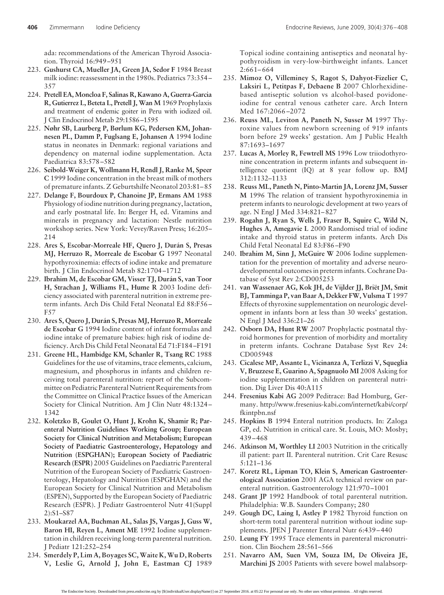ada: recommendations of the American Thyroid Association. Thyroid 16:949 –951

- 223. **Gushurst CA, Mueller JA, Green JA, Sedor F** 1984 Breast milk iodine: reassessment in the 1980s. Pediatrics 73:354 – 357
- 224. **Pretell EA, Moncloa F, Salinas R, Kawano A, Guerra-Garcia R, Gutierrez L, Beteta L, Pretell J, Wan M** 1969 Prophylaxis and treatment of endemic goiter in Peru with iodized oil. J Clin Endocrinol Metab 29:1586 –1595
- 225. **Nøhr SB, Laurberg P, Børlum KG, Pedersen KM, Johannesen PL, Damm P, Fuglsang E, Johansen A** 1994 Iodine status in neonates in Denmark: regional variations and dependency on maternal iodine supplementation. Acta Paediatrica 83:578 –582
- 226. **Seibold-Weiger K, Wollmann H, Rendl J, Ranke M, Speer C** 1999 Iodine concentration in the breast milk of mothers of premature infants. Z Geburtshilfe Neonatol 203:81– 85
- 227. **Delange F, Bourdoux P, Chanoine JP, Ermans AM** 1988 Physiology of iodine nutrition during pregnancy, lactation, and early postnatal life. In: Berger H, ed. Vitamins and minerals in pregnancy and lactation: Nestle nutrition workshop series. New York: Vevey/Raven Press; 16:205– 214
- 228. Ares S, Escobar-Morreale HF, Quero J, Durán S, Presas **MJ, Herruzo R, Morreale de Escobar G** 1997 Neonatal hypothyroxinemia: effects of iodine intake and premature birth. J Clin Endocrinol Metab 82:1704 –1712
- 229. **Ibrahim M, de Escobar GM, Visser TJ, Durán S, van Toor H, Strachan J, Williams FL, Hume R** 2003 Iodine deficiency associated with parenteral nutrition in extreme preterm infants. Arch Dis Child Fetal Neonatal Ed 88:F56 – F57
- 230. **Ares S, Quero J, Dura´n S, Presas MJ, Herruzo R, Morreale de Escobar G** 1994 Iodine content of infant formulas and iodine intake of premature babies: high risk of iodine deficiency. Arch Dis Child Fetal Neonatal Ed 71:F184 –F191
- 231. **Greene HL, Hambidge KM, Schanler R, Tsang RC** 1988 Guidelines for the use of vitamins, trace elements, calcium, magnesium, and phosphorus in infants and children receiving total parenteral nutrition: report of the Subcommittee on Pediatric Parenteral Nutrient Requirements from the Committee on Clinical Practice Issues of the American Society for Clinical Nutrition. Am J Clin Nutr 48:1324 – 1342
- 232. **Koletzko B, Goulet O, Hunt J, Krohn K, Shamir R; Parenteral Nutrition Guidelines Working Group; European Society for Clinical Nutrition and Metabolism; European Society of Paediatric Gastroenterology, Hepatology and Nutrition (ESPGHAN); European Society of Paediatric Research (ESPR)** 2005 Guidelines on Paediatric Parenteral Nutrition of the European Society of Paediatric Gastroenterology, Hepatology and Nutrition (ESPGHAN) and the European Society for Clinical Nutrition and Metabolism (ESPEN), Supported by the European Society of Paediatric Research (ESPR). J Pediatr Gastroenterol Nutr 41(Suppl 2):S1–S87
- 233. **Moukarzel AA, Buchman AL, Salas JS, Vargas J, Guss W, Baron HI, Reyen L, Ament ME** 1992 Iodine supplementation in children receiving long-term parenteral nutrition. J Pediatr 121:252–254
- 234. **Smerdely P, Lim A, Boyages SC,Waite K,Wu D, Roberts V, Leslie G, Arnold J, John E, Eastman CJ** 1989

Topical iodine containing antiseptics and neonatal hypothyroidism in very-low-birthweight infants. Lancet 2:661– 664

- 235. **Mimoz O, Villeminey S, Ragot S, Dahyot-Fizelier C, Laksiri L, Petitpas F, Debaene B** 2007 Chlorhexidinebased antiseptic solution vs alcohol-based povidoneiodine for central venous catheter care. Arch Intern Med 167:2066 –2072
- 236. **Reuss ML, Leviton A, Paneth N, Susser M** 1997 Thyroxine values from newborn screening of 919 infants born before 29 weeks' gestation. Am J Public Health 87:1693–1697
- 237. **Lucas A, Morley R, Fewtrell MS** 1996 Low triiodothyronine concentration in preterm infants and subsequent intelligence quotient (IQ) at 8 year follow up. BMJ 312:1132–1133
- 238. **Reuss ML, Paneth N, Pinto-Martin JA, Lorenz JM, Susser M** 1996 The relation of transient hypothyroxinemia in preterm infants to neurologic development at two years of age. N Engl J Med 334:821– 827
- 239. **Rogahn J, Ryan S, Wells J, Fraser B, Squire C, Wild N, Hughes A, Amegavie L** 2000 Randomised trial of iodine intake and thyroid status in preterm infants. Arch Dis Child Fetal Neonatal Ed 83:F86 –F90
- 240. **Ibrahim M, Sinn J, McGuire W** 2006 Iodine supplementation for the prevention of mortality and adverse neurodevelopmental outcomes in preterm infants. Cochrane Database of Syst Rev 2:CD005253
- 241. van Wassenaer AG, Kok JH, de Vijlder JJ, Briët JM, Smit **BJ, Tamminga P, van Baar A, Dekker FW, Vulsma T** 1997 Effects of thyroxine supplementation on neurologic development in infants born at less than 30 weeks' gestation. N Engl J Med 336:21–26
- 242. **Osborn DA, Hunt RW** 2007 Prophylactic postnatal thyroid hormones for prevention of morbidity and mortality in preterm infants. Cochrane Database Syst Rev 24: CD005948
- 243. **Cicalese MP, Assante L, Vicinanza A, Terlizzi V, Squeglia V, Bruzzese E, Guarino A, Spagnuolo MI** 2008 Asking for iodine supplementation in children on parenteral nutrition. Dig Liver Dis 40:A115
- 244. **Fresenius Kabi AG** 2009 Peditrace: Bad Homburg, Germany. http://www.fresenius-kabi.com/internet/kabi/corp/ fkintpbn.nsf
- 245. **Hopkins B** 1994 Enteral nutrition products. In: Zaloga GP, ed. Nutrition in critical care. St. Louis, MO: Mosby; 439 – 468
- 246. **Atkinson M, Worthley LI** 2003 Nutrition in the critically ill patient: part II. Parenteral nutrition. Crit Care Resusc 5:121–136
- 247. **Koretz RL, Lipman TO, Klein S, American Gastroenterological Association** 2001 AGA technical review on parenteral nutrition. Gastroenterology 121:970 –1001
- 248. **Grant JP** 1992 Handbook of total parenteral nutrition. Philadelphia: W.B. Saunders Company; 280
- 249. **Gough DC, Laing I, Astley P** 1982 Thyroid function on short-term total parenteral nutrition without iodine supplements. JPEN J Parenter Enteral Nutr 6:439 – 440
- 250. **Leung FY** 1995 Trace elements in parenteral micronutrition. Clin Biochem 28:561–566
- 251. **Navarro AM, Suen VM, Souza IM, De Oliveira JE, Marchini JS** 2005 Patients with severe bowel malabsorp-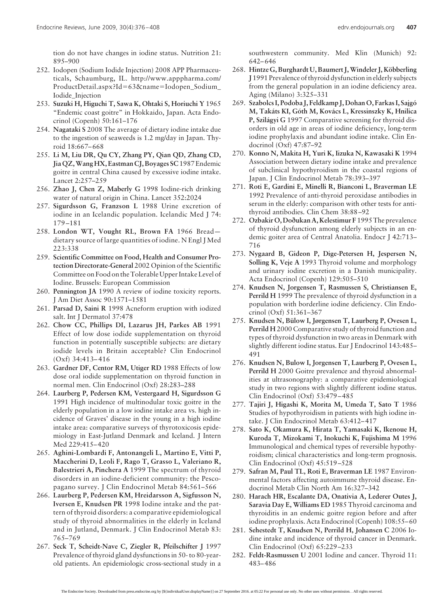tion do not have changes in iodine status. Nutrition 21: 895–900

- 252. Iodopen (Sodium Iodide Injection) 2008 APP Pharmaceuticals, Schaumburg, IL. http://www.apppharma.com/ ProductDetail.aspx?Id=63&name=Iodopen\_Sodium\_ Iodide\_Injection
- 253. **Suzuki H, Higuchi T, Sawa K, Ohtaki S, Horiuchi Y** 1965 "Endemic coast goitre" in Hokkaido, Japan. Acta Endocrinol (Copenh) 50:161–176
- 254. **Nagataki S** 2008 The average of dietary iodine intake due to the ingestion of seaweeds is 1.2 mg/day in Japan. Thyroid 18:667– 668
- 255. **Li M, Liu DR, Qu CY, Zhang PY, Qian QD, Zhang CD, Jia QZ,Wang HX, Eastman CJ, Boyages SC**1987 Endemic goitre in central China caused by excessive iodine intake. Lancet 2:257–259
- 256. **Zhao J, Chen Z, Maberly G** 1998 Iodine-rich drinking water of natural origin in China. Lancet 352:2024
- 257. **Sigurdsson G, Franzson L** 1988 Urine excretion of iodine in an Icelandic population. Icelandic Med J 74: 179 –181
- 258. **London WT, Vought RL, Brown FA** 1966 Bread dietary source of large quantities of iodine. N Engl JMed 223:338
- 259. **Scientific Committee on Food, Health and Consumer Protection Directorate-General** 2002 Opinion of the Scientific Committee on Food on the Tolerable Upper Intake Level of Iodine. Brussels: European Commission
- 260. **Pennington JA** 1990 A review of iodine toxicity reports. J Am Diet Assoc 90:1571–1581
- 261. **Parsad D, Saini R** 1998 Acneform eruption with iodized salt. Int J Dermatol 37:478
- 262. **Chow CC, Phillips DI, Lazarus JH, Parkes AB** 1991 Effect of low dose iodide supplementation on thyroid function in potentially susceptible subjects: are dietary iodide levels in Britain acceptable? Clin Endocrinol (Oxf) 34:413– 416
- 263. **Gardner DF, Centor RM, Utiger RD** 1988 Effects of low dose oral iodide supplementation on thyroid function in normal men. Clin Endocrinol (Oxf) 28:283–288
- 264. **Laurberg P, Pedersen KM, Vestergaard H, Sigurdsson G** 1991 High incidence of multinodular toxic goitre in the elderly population in a low iodine intake area vs. high incidence of Graves' disease in the young in a high iodine intake area: comparative surveys of thyrotoxicosis epidemiology in East-Jutland Denmark and Iceland. J Intern Med 229:415– 420
- 265. **Aghini-Lombardi F, Antonangeli L, Martino E, Vitti P, Maccherini D, Leoli F, Rago T, Grasso L, Valeriano R, Balestrieri A, Pinchera A** 1999 The spectrum of thyroid disorders in an iodine-deficient community: the Pescopagano survey. J Clin Endocrinol Metab 84:561–566
- 266. **Laurberg P, Pedersen KM, Hreidarsson A, Sigfusson N, Iversen E, Knudsen PR** 1998 Iodine intake and the pattern of thyroid disorders: a comparative epidemiological study of thyroid abnormalities in the elderly in Iceland and in Jutland, Denmark. J Clin Endocrinol Metab 83: 765–769
- 267. **Seck T, Scheidt-Nave C, Ziegler R, Pfeilschifter J** 1997 Prevalence of thyroid gland dysfunctions in 50- to 80-yearold patients. An epidemiologic cross-sectional study in a

southwestern community. Med Klin (Munich) 92: 642– 646

- 268. Hintze G, Burghardt U, Baumert J, Windeler J, Köbberling **J** 1991 Prevalence of thyroid dysfunction in elderly subjects from the general population in an iodine deficiency area. Aging (Milano) 3:325–331
- 269. **Szabolcs I, Podoba J, Feldkamp J, Dohan O, Farkas I, Sajgo´** M, Takáts KI, Góth M, Kovács L, Kressinszky K, Hnilica **P, Szilágyi G** 1997 Comparative screening for thyroid disorders in old age in areas of iodine deficiency, long-term iodine prophylaxis and abundant iodine intake. Clin Endocrinol (Oxf) 47:87–92
- 270. **Konno N, Makita H, Yuri K, Iizuka N, Kawasaki K** 1994 Association between dietary iodine intake and prevalence of subclinical hypothyroidism in the coastal regions of Japan. J Clin Endocrinol Metab 78:393–397
- 271. **Roti E, Gardini E, Minelli R, Bianconi L, Braverman LE** 1992 Prevalence of anti-thyroid peroxidase antibodies in serum in the elderly: comparison with other tests for antithyroid antibodies. Clin Chem 38:88 –92
- 272. **Ozbakir O, Doðukan A, Kelestimur F** 1995 The prevalence of thyroid dysfunction among elderly subjects in an endemic goiter area of Central Anatolia. Endocr J 42:713– 716
- 273. **Nygaard B, Gideon P, Dige-Petersen H, Jespersen N, Solling K, Veje A** 1993 Thyroid volume and morphology and urinary iodine excretion in a Danish municipality. Acta Endocrinol (Copenh) 129:505–510
- 274. **Knudsen N, Jorgensen T, Rasmussen S, Christiansen E, Perrild H** 1999 The prevalence of thyroid dysfunction in a population with borderline iodine deficiency. Clin Endocrinol (Oxf) 51:361–367
- 275. **Knudsen N, Bu¨low I, Jørgensen T, Laurberg P, Ovesen L, Perrild H** 2000 Comparative study of thyroid function and types of thyroid dysfunction in two areas in Denmark with slightly different iodine status. Eur J Endocrinol 143:485– 491
- 276. **Knudsen N, Bulow I, Jorgensen T, Laurberg P, Ovesen L, Perrild H** 2000 Goitre prevalence and thyroid abnormalities at ultrasonography: a comparative epidemiological study in two regions with slightly different iodine status. Clin Endocrinol (Oxf) 53:479 – 485
- 277. **Tajiri J, Higashi K, Morita M, Umeda T, Sato T** 1986 Studies of hypothyroidism in patients with high iodine intake. J Clin Endocrinol Metab 63:412– 417
- 278. **Sato K, Okamura K, Hirata T, Yamasaki K, Ikenoue H, Kuroda T, Mizokami T, Inokuchi K, Fujishima M** 1996 Immunological and chemical types of reversible hypothyroidism; clinical characteristics and long-term prognosis. Clin Endocrinol (Oxf) 45:519 –528
- 279. **Safran M, Paul TL, Roti E, Braverman LE** 1987 Environmental factors affecting autoimmune thyroid disease. Endocrinol Metab Clin North Am 16:327–342
- 280. **Harach HR, Escalante DA, Onativia A, Lederer Outes J, Saravia Day E, Williams ED** 1985 Thyroid carcinoma and thyroiditis in an endemic goitre region before and after iodine prophylaxis. Acta Endocrinol (Copenh) 108:55– 60
- 281. **Sehestedt T, Knudsen N, Perrild H, Johansen C** 2006 Iodine intake and incidence of thyroid cancer in Denmark. Clin Endocrinol (Oxf) 65:229 –233
- 282. **Feldt-Rasmussen U** 2001 Iodine and cancer. Thyroid 11: 483– 486